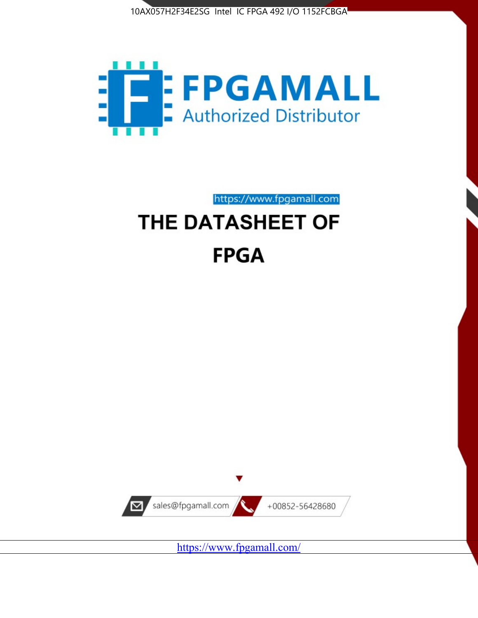



https://www.fpgamall.com

# THE DATASHEET OF **FPGA**



<https://www.fpgamall.com/>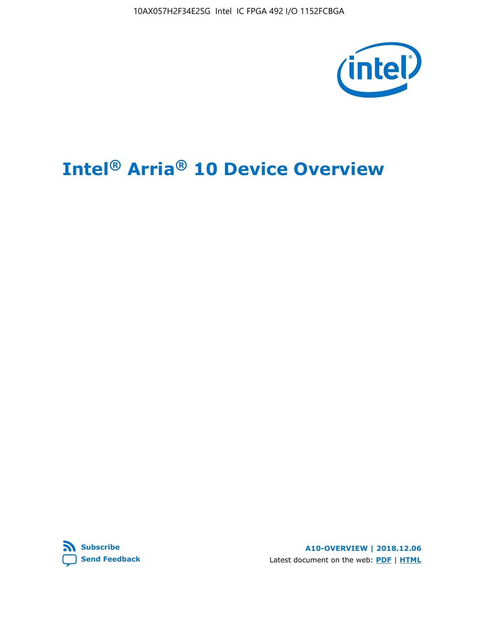10AX057H2F34E2SG Intel IC FPGA 492 I/O 1152FCBGA



# **Intel® Arria® 10 Device Overview**



**A10-OVERVIEW | 2018.12.06** Latest document on the web: **[PDF](https://www.intel.com/content/dam/www/programmable/us/en/pdfs/literature/hb/arria-10/a10_overview.pdf)** | **[HTML](https://www.intel.com/content/www/us/en/programmable/documentation/sam1403480274650.html)**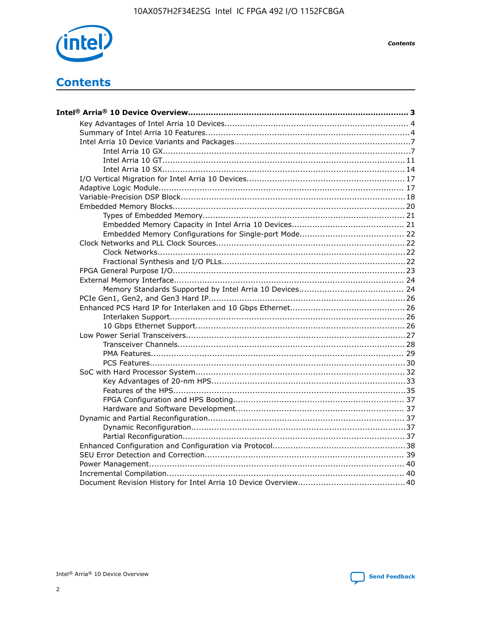

**Contents** 

# **Contents**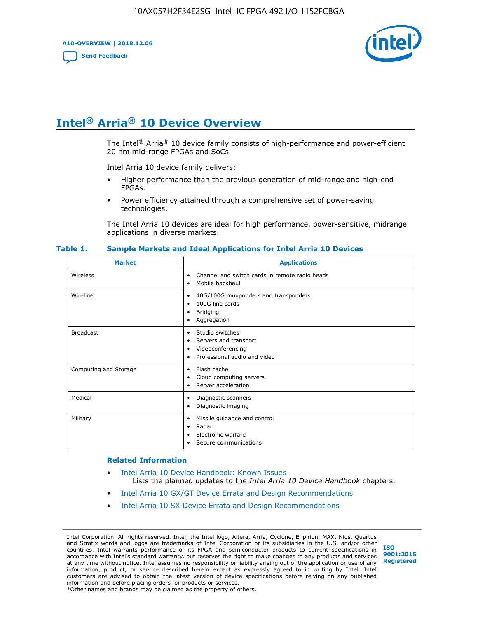**A10-OVERVIEW | 2018.12.06**

**[Send Feedback](mailto:FPGAtechdocfeedback@intel.com?subject=Feedback%20on%20Intel%20Arria%2010%20Device%20Overview%20(A10-OVERVIEW%202018.12.06)&body=We%20appreciate%20your%20feedback.%20In%20your%20comments,%20also%20specify%20the%20page%20number%20or%20paragraph.%20Thank%20you.)**



# **Intel® Arria® 10 Device Overview**

The Intel<sup>®</sup> Arria<sup>®</sup> 10 device family consists of high-performance and power-efficient 20 nm mid-range FPGAs and SoCs.

Intel Arria 10 device family delivers:

- Higher performance than the previous generation of mid-range and high-end FPGAs.
- Power efficiency attained through a comprehensive set of power-saving technologies.

The Intel Arria 10 devices are ideal for high performance, power-sensitive, midrange applications in diverse markets.

| <b>Market</b>         | <b>Applications</b>                                                                                               |
|-----------------------|-------------------------------------------------------------------------------------------------------------------|
| Wireless              | Channel and switch cards in remote radio heads<br>٠<br>Mobile backhaul<br>٠                                       |
| Wireline              | 40G/100G muxponders and transponders<br>٠<br>100G line cards<br>٠<br><b>Bridging</b><br>٠<br>Aggregation<br>٠     |
| <b>Broadcast</b>      | Studio switches<br>٠<br>Servers and transport<br>٠<br>Videoconferencing<br>٠<br>Professional audio and video<br>٠ |
| Computing and Storage | Flash cache<br>٠<br>Cloud computing servers<br>٠<br>Server acceleration<br>٠                                      |
| Medical               | Diagnostic scanners<br>٠<br>Diagnostic imaging<br>$\bullet$                                                       |
| Military              | Missile guidance and control<br>٠<br>Radar<br>٠<br>Electronic warfare<br>٠<br>Secure communications<br>٠          |

#### **Table 1. Sample Markets and Ideal Applications for Intel Arria 10 Devices**

#### **Related Information**

- [Intel Arria 10 Device Handbook: Known Issues](http://www.altera.com/support/kdb/solutions/rd07302013_646.html) Lists the planned updates to the *Intel Arria 10 Device Handbook* chapters.
- [Intel Arria 10 GX/GT Device Errata and Design Recommendations](https://www.intel.com/content/www/us/en/programmable/documentation/agz1493851706374.html#yqz1494433888646)
- [Intel Arria 10 SX Device Errata and Design Recommendations](https://www.intel.com/content/www/us/en/programmable/documentation/cru1462832385668.html#cru1462832558642)

Intel Corporation. All rights reserved. Intel, the Intel logo, Altera, Arria, Cyclone, Enpirion, MAX, Nios, Quartus and Stratix words and logos are trademarks of Intel Corporation or its subsidiaries in the U.S. and/or other countries. Intel warrants performance of its FPGA and semiconductor products to current specifications in accordance with Intel's standard warranty, but reserves the right to make changes to any products and services at any time without notice. Intel assumes no responsibility or liability arising out of the application or use of any information, product, or service described herein except as expressly agreed to in writing by Intel. Intel customers are advised to obtain the latest version of device specifications before relying on any published information and before placing orders for products or services. \*Other names and brands may be claimed as the property of others.

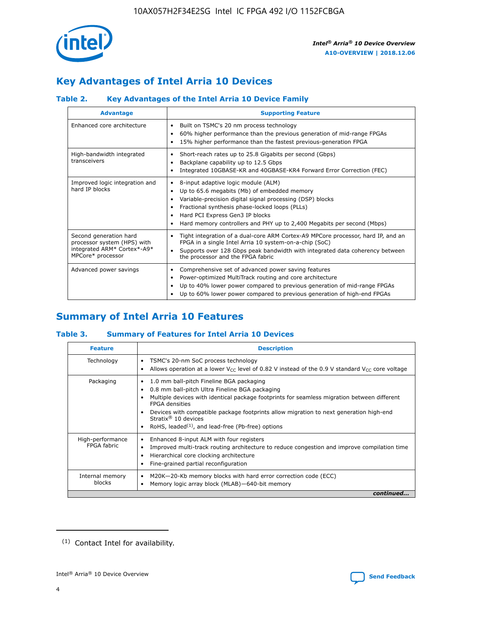

# **Key Advantages of Intel Arria 10 Devices**

## **Table 2. Key Advantages of the Intel Arria 10 Device Family**

| <b>Advantage</b>                                                                                          | <b>Supporting Feature</b>                                                                                                                                                                                                                                                                                                |
|-----------------------------------------------------------------------------------------------------------|--------------------------------------------------------------------------------------------------------------------------------------------------------------------------------------------------------------------------------------------------------------------------------------------------------------------------|
| Enhanced core architecture                                                                                | Built on TSMC's 20 nm process technology<br>٠<br>60% higher performance than the previous generation of mid-range FPGAs<br>٠<br>15% higher performance than the fastest previous-generation FPGA<br>٠                                                                                                                    |
| High-bandwidth integrated<br>transceivers                                                                 | Short-reach rates up to 25.8 Gigabits per second (Gbps)<br>٠<br>Backplane capability up to 12.5 Gbps<br>٠<br>Integrated 10GBASE-KR and 40GBASE-KR4 Forward Error Correction (FEC)<br>٠                                                                                                                                   |
| Improved logic integration and<br>hard IP blocks                                                          | 8-input adaptive logic module (ALM)<br>٠<br>Up to 65.6 megabits (Mb) of embedded memory<br>٠<br>Variable-precision digital signal processing (DSP) blocks<br>Fractional synthesis phase-locked loops (PLLs)<br>Hard PCI Express Gen3 IP blocks<br>Hard memory controllers and PHY up to 2,400 Megabits per second (Mbps) |
| Second generation hard<br>processor system (HPS) with<br>integrated ARM* Cortex*-A9*<br>MPCore* processor | Tight integration of a dual-core ARM Cortex-A9 MPCore processor, hard IP, and an<br>٠<br>FPGA in a single Intel Arria 10 system-on-a-chip (SoC)<br>Supports over 128 Gbps peak bandwidth with integrated data coherency between<br>$\bullet$<br>the processor and the FPGA fabric                                        |
| Advanced power savings                                                                                    | Comprehensive set of advanced power saving features<br>٠<br>Power-optimized MultiTrack routing and core architecture<br>٠<br>Up to 40% lower power compared to previous generation of mid-range FPGAs<br>٠<br>Up to 60% lower power compared to previous generation of high-end FPGAs<br>٠                               |

# **Summary of Intel Arria 10 Features**

## **Table 3. Summary of Features for Intel Arria 10 Devices**

| <b>Feature</b>                  | <b>Description</b>                                                                                                                                                                                                                                                                                                                                                                                       |
|---------------------------------|----------------------------------------------------------------------------------------------------------------------------------------------------------------------------------------------------------------------------------------------------------------------------------------------------------------------------------------------------------------------------------------------------------|
| Technology                      | TSMC's 20-nm SoC process technology<br>٠<br>Allows operation at a lower $V_{\text{CC}}$ level of 0.82 V instead of the 0.9 V standard $V_{\text{CC}}$ core voltage                                                                                                                                                                                                                                       |
| Packaging                       | 1.0 mm ball-pitch Fineline BGA packaging<br>0.8 mm ball-pitch Ultra Fineline BGA packaging<br>Multiple devices with identical package footprints for seamless migration between different<br><b>FPGA</b> densities<br>Devices with compatible package footprints allow migration to next generation high-end<br>Stratix $\mathcal{R}$ 10 devices<br>RoHS, leaded $(1)$ , and lead-free (Pb-free) options |
| High-performance<br>FPGA fabric | Enhanced 8-input ALM with four registers<br>٠<br>Improved multi-track routing architecture to reduce congestion and improve compilation time<br>Hierarchical core clocking architecture<br>Fine-grained partial reconfiguration                                                                                                                                                                          |
| Internal memory<br>blocks       | M20K-20-Kb memory blocks with hard error correction code (ECC)<br>Memory logic array block (MLAB)-640-bit memory                                                                                                                                                                                                                                                                                         |
|                                 | continued                                                                                                                                                                                                                                                                                                                                                                                                |



<sup>(1)</sup> Contact Intel for availability.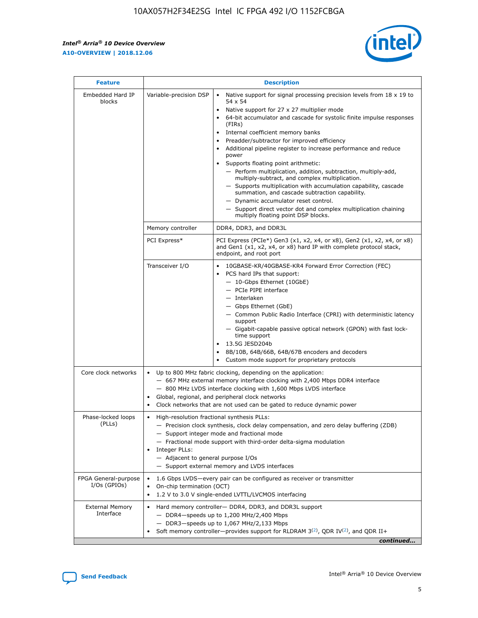r



| <b>Feature</b>                         | <b>Description</b>                                                                                             |                                                                                                                                                                                                                                                                                                                                                                                                                                                                                                                                                                                                                                                                                                                                                                                                                                        |  |  |  |  |  |  |
|----------------------------------------|----------------------------------------------------------------------------------------------------------------|----------------------------------------------------------------------------------------------------------------------------------------------------------------------------------------------------------------------------------------------------------------------------------------------------------------------------------------------------------------------------------------------------------------------------------------------------------------------------------------------------------------------------------------------------------------------------------------------------------------------------------------------------------------------------------------------------------------------------------------------------------------------------------------------------------------------------------------|--|--|--|--|--|--|
| Embedded Hard IP<br>blocks             | Variable-precision DSP                                                                                         | Native support for signal processing precision levels from $18 \times 19$ to<br>54 x 54<br>Native support for 27 x 27 multiplier mode<br>64-bit accumulator and cascade for systolic finite impulse responses<br>(FIRs)<br>Internal coefficient memory banks<br>$\bullet$<br>Preadder/subtractor for improved efficiency<br>Additional pipeline register to increase performance and reduce<br>power<br>Supports floating point arithmetic:<br>- Perform multiplication, addition, subtraction, multiply-add,<br>multiply-subtract, and complex multiplication.<br>- Supports multiplication with accumulation capability, cascade<br>summation, and cascade subtraction capability.<br>- Dynamic accumulator reset control.<br>- Support direct vector dot and complex multiplication chaining<br>multiply floating point DSP blocks. |  |  |  |  |  |  |
|                                        | Memory controller                                                                                              | DDR4, DDR3, and DDR3L                                                                                                                                                                                                                                                                                                                                                                                                                                                                                                                                                                                                                                                                                                                                                                                                                  |  |  |  |  |  |  |
|                                        | PCI Express*                                                                                                   | PCI Express (PCIe*) Gen3 (x1, x2, x4, or x8), Gen2 (x1, x2, x4, or x8)<br>and Gen1 (x1, x2, x4, or x8) hard IP with complete protocol stack,<br>endpoint, and root port                                                                                                                                                                                                                                                                                                                                                                                                                                                                                                                                                                                                                                                                |  |  |  |  |  |  |
|                                        | Transceiver I/O                                                                                                | 10GBASE-KR/40GBASE-KR4 Forward Error Correction (FEC)<br>PCS hard IPs that support:<br>$\bullet$<br>- 10-Gbps Ethernet (10GbE)<br>- PCIe PIPE interface<br>$-$ Interlaken<br>- Gbps Ethernet (GbE)<br>- Common Public Radio Interface (CPRI) with deterministic latency<br>support<br>- Gigabit-capable passive optical network (GPON) with fast lock-<br>time support<br>13.5G JESD204b<br>$\bullet$<br>8B/10B, 64B/66B, 64B/67B encoders and decoders<br>Custom mode support for proprietary protocols                                                                                                                                                                                                                                                                                                                               |  |  |  |  |  |  |
| Core clock networks                    | $\bullet$<br>$\bullet$                                                                                         | Up to 800 MHz fabric clocking, depending on the application:<br>- 667 MHz external memory interface clocking with 2,400 Mbps DDR4 interface<br>- 800 MHz LVDS interface clocking with 1,600 Mbps LVDS interface<br>Global, regional, and peripheral clock networks<br>Clock networks that are not used can be gated to reduce dynamic power                                                                                                                                                                                                                                                                                                                                                                                                                                                                                            |  |  |  |  |  |  |
| Phase-locked loops<br>(PLLs)           | High-resolution fractional synthesis PLLs:<br>$\bullet$<br>Integer PLLs:<br>- Adjacent to general purpose I/Os | - Precision clock synthesis, clock delay compensation, and zero delay buffering (ZDB)<br>- Support integer mode and fractional mode<br>- Fractional mode support with third-order delta-sigma modulation<br>- Support external memory and LVDS interfaces                                                                                                                                                                                                                                                                                                                                                                                                                                                                                                                                                                              |  |  |  |  |  |  |
| FPGA General-purpose<br>$I/Os$ (GPIOs) | On-chip termination (OCT)                                                                                      | 1.6 Gbps LVDS-every pair can be configured as receiver or transmitter<br>1.2 V to 3.0 V single-ended LVTTL/LVCMOS interfacing                                                                                                                                                                                                                                                                                                                                                                                                                                                                                                                                                                                                                                                                                                          |  |  |  |  |  |  |
| <b>External Memory</b><br>Interface    |                                                                                                                | Hard memory controller- DDR4, DDR3, and DDR3L support<br>$-$ DDR4-speeds up to 1,200 MHz/2,400 Mbps<br>- DDR3-speeds up to 1,067 MHz/2,133 Mbps<br>Soft memory controller—provides support for RLDRAM $3^{(2)}$ , QDR IV $^{(2)}$ , and QDR II+<br>continued                                                                                                                                                                                                                                                                                                                                                                                                                                                                                                                                                                           |  |  |  |  |  |  |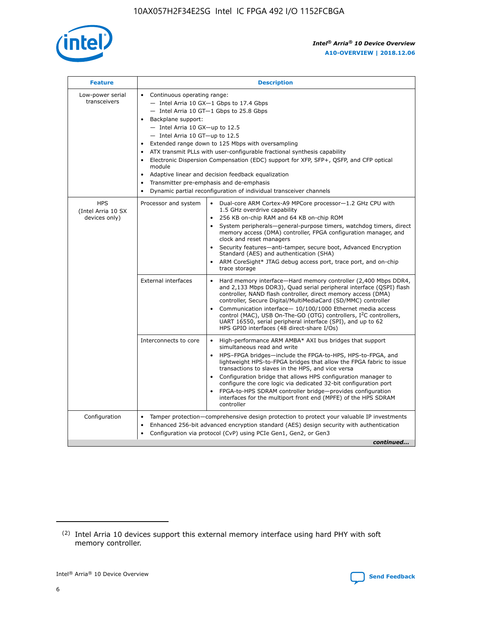

| <b>Feature</b>                                    | <b>Description</b>                                                                                                                                                                                                                                                                                                                                                                                                                                                                                                                                                                                                                         |
|---------------------------------------------------|--------------------------------------------------------------------------------------------------------------------------------------------------------------------------------------------------------------------------------------------------------------------------------------------------------------------------------------------------------------------------------------------------------------------------------------------------------------------------------------------------------------------------------------------------------------------------------------------------------------------------------------------|
| Low-power serial<br>transceivers                  | • Continuous operating range:<br>- Intel Arria 10 GX-1 Gbps to 17.4 Gbps<br>- Intel Arria 10 GT-1 Gbps to 25.8 Gbps<br>Backplane support:<br>$-$ Intel Arria 10 GX-up to 12.5<br>- Intel Arria 10 GT-up to 12.5<br>Extended range down to 125 Mbps with oversampling<br>ATX transmit PLLs with user-configurable fractional synthesis capability<br>Electronic Dispersion Compensation (EDC) support for XFP, SFP+, QSFP, and CFP optical<br>module<br>• Adaptive linear and decision feedback equalization<br>Transmitter pre-emphasis and de-emphasis<br>$\bullet$<br>Dynamic partial reconfiguration of individual transceiver channels |
| <b>HPS</b><br>(Intel Arria 10 SX<br>devices only) | Dual-core ARM Cortex-A9 MPCore processor-1.2 GHz CPU with<br>Processor and system<br>$\bullet$<br>1.5 GHz overdrive capability<br>256 KB on-chip RAM and 64 KB on-chip ROM<br>System peripherals-general-purpose timers, watchdog timers, direct<br>memory access (DMA) controller, FPGA configuration manager, and<br>clock and reset managers<br>Security features-anti-tamper, secure boot, Advanced Encryption<br>$\bullet$<br>Standard (AES) and authentication (SHA)<br>ARM CoreSight* JTAG debug access port, trace port, and on-chip<br>trace storage                                                                              |
|                                                   | <b>External interfaces</b><br>Hard memory interface-Hard memory controller (2,400 Mbps DDR4,<br>$\bullet$<br>and 2,133 Mbps DDR3), Quad serial peripheral interface (QSPI) flash<br>controller, NAND flash controller, direct memory access (DMA)<br>controller, Secure Digital/MultiMediaCard (SD/MMC) controller<br>Communication interface-10/100/1000 Ethernet media access<br>$\bullet$<br>control (MAC), USB On-The-GO (OTG) controllers, I <sup>2</sup> C controllers,<br>UART 16550, serial peripheral interface (SPI), and up to 62<br>HPS GPIO interfaces (48 direct-share I/Os)                                                 |
|                                                   | High-performance ARM AMBA* AXI bus bridges that support<br>Interconnects to core<br>$\bullet$<br>simultaneous read and write<br>HPS-FPGA bridges-include the FPGA-to-HPS, HPS-to-FPGA, and<br>$\bullet$<br>lightweight HPS-to-FPGA bridges that allow the FPGA fabric to issue<br>transactions to slaves in the HPS, and vice versa<br>Configuration bridge that allows HPS configuration manager to<br>configure the core logic via dedicated 32-bit configuration port<br>FPGA-to-HPS SDRAM controller bridge-provides configuration<br>interfaces for the multiport front end (MPFE) of the HPS SDRAM<br>controller                     |
| Configuration                                     | Tamper protection—comprehensive design protection to protect your valuable IP investments<br>Enhanced 256-bit advanced encryption standard (AES) design security with authentication<br>٠<br>Configuration via protocol (CvP) using PCIe Gen1, Gen2, or Gen3<br>continued                                                                                                                                                                                                                                                                                                                                                                  |

<sup>(2)</sup> Intel Arria 10 devices support this external memory interface using hard PHY with soft memory controller.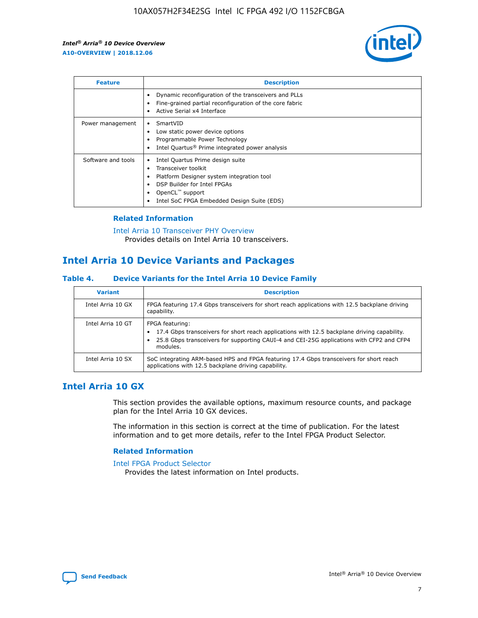

| <b>Feature</b>     | <b>Description</b>                                                                                                                                                                                                            |
|--------------------|-------------------------------------------------------------------------------------------------------------------------------------------------------------------------------------------------------------------------------|
|                    | Dynamic reconfiguration of the transceivers and PLLs<br>Fine-grained partial reconfiguration of the core fabric<br>Active Serial x4 Interface<br>$\bullet$                                                                    |
| Power management   | SmartVID<br>Low static power device options<br>Programmable Power Technology<br>Intel Quartus <sup>®</sup> Prime integrated power analysis                                                                                    |
| Software and tools | Intel Quartus Prime design suite<br>Transceiver toolkit<br>$\bullet$<br>Platform Designer system integration tool<br>DSP Builder for Intel FPGAs<br>OpenCL <sup>™</sup> support<br>Intel SoC FPGA Embedded Design Suite (EDS) |

## **Related Information**

[Intel Arria 10 Transceiver PHY Overview](https://www.intel.com/content/www/us/en/programmable/documentation/nik1398707230472.html#nik1398706768037) Provides details on Intel Arria 10 transceivers.

# **Intel Arria 10 Device Variants and Packages**

#### **Table 4. Device Variants for the Intel Arria 10 Device Family**

| <b>Variant</b>    | <b>Description</b>                                                                                                                                                                                                     |
|-------------------|------------------------------------------------------------------------------------------------------------------------------------------------------------------------------------------------------------------------|
| Intel Arria 10 GX | FPGA featuring 17.4 Gbps transceivers for short reach applications with 12.5 backplane driving<br>capability.                                                                                                          |
| Intel Arria 10 GT | FPGA featuring:<br>17.4 Gbps transceivers for short reach applications with 12.5 backplane driving capability.<br>25.8 Gbps transceivers for supporting CAUI-4 and CEI-25G applications with CFP2 and CFP4<br>modules. |
| Intel Arria 10 SX | SoC integrating ARM-based HPS and FPGA featuring 17.4 Gbps transceivers for short reach<br>applications with 12.5 backplane driving capability.                                                                        |

## **Intel Arria 10 GX**

This section provides the available options, maximum resource counts, and package plan for the Intel Arria 10 GX devices.

The information in this section is correct at the time of publication. For the latest information and to get more details, refer to the Intel FPGA Product Selector.

### **Related Information**

#### [Intel FPGA Product Selector](http://www.altera.com/products/selector/psg-selector.html) Provides the latest information on Intel products.

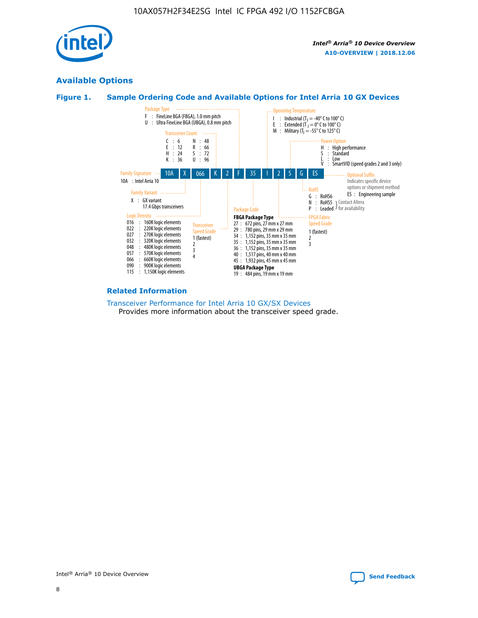

## **Available Options**





#### **Related Information**

[Transceiver Performance for Intel Arria 10 GX/SX Devices](https://www.intel.com/content/www/us/en/programmable/documentation/mcn1413182292568.html#mcn1413213965502) Provides more information about the transceiver speed grade.

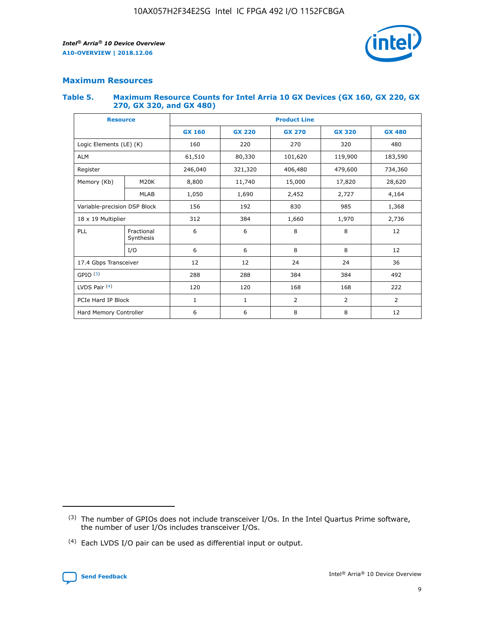

## **Maximum Resources**

#### **Table 5. Maximum Resource Counts for Intel Arria 10 GX Devices (GX 160, GX 220, GX 270, GX 320, and GX 480)**

| <b>Resource</b>              |                         | <b>Product Line</b> |                   |                |                |                |  |  |  |
|------------------------------|-------------------------|---------------------|-------------------|----------------|----------------|----------------|--|--|--|
|                              |                         | <b>GX 160</b>       | <b>GX 220</b>     | <b>GX 270</b>  | <b>GX 320</b>  | <b>GX 480</b>  |  |  |  |
| Logic Elements (LE) (K)      |                         | 160                 | 220               | 270            | 320            | 480            |  |  |  |
| <b>ALM</b>                   |                         | 61,510              | 80,330            | 101,620        | 119,900        | 183,590        |  |  |  |
| Register                     |                         | 246,040             | 321,320           | 406,480        |                | 734,360        |  |  |  |
| Memory (Kb)                  | M <sub>20</sub> K       | 8,800               | 11,740            | 15,000         | 17,820         | 28,620         |  |  |  |
| <b>MLAB</b>                  |                         | 1,050               | 1,690             | 2,452          | 2,727          | 4,164          |  |  |  |
| Variable-precision DSP Block |                         | 156                 | 985<br>192<br>830 |                |                | 1,368          |  |  |  |
| 18 x 19 Multiplier           |                         | 312                 | 384               | 1,660<br>1,970 |                | 2,736          |  |  |  |
| PLL                          | Fractional<br>Synthesis | 6                   | 6                 | 8              | 8              | 12             |  |  |  |
|                              | I/O                     | 6                   | 6                 | 8              | 8              | 12             |  |  |  |
| 17.4 Gbps Transceiver        |                         | 12                  | 12                | 24             | 24             | 36             |  |  |  |
| GPIO <sup>(3)</sup>          |                         | 288                 | 288<br>384        |                | 384            | 492            |  |  |  |
| LVDS Pair $(4)$              |                         | 120                 | 120               | 168<br>168     |                | 222            |  |  |  |
| PCIe Hard IP Block           |                         | $\mathbf{1}$        | 1                 | $\overline{2}$ | $\overline{2}$ | $\overline{2}$ |  |  |  |
| Hard Memory Controller       |                         | 6                   | 6                 | 8              | 8              | 12             |  |  |  |

<sup>(4)</sup> Each LVDS I/O pair can be used as differential input or output.



<sup>(3)</sup> The number of GPIOs does not include transceiver I/Os. In the Intel Quartus Prime software, the number of user I/Os includes transceiver I/Os.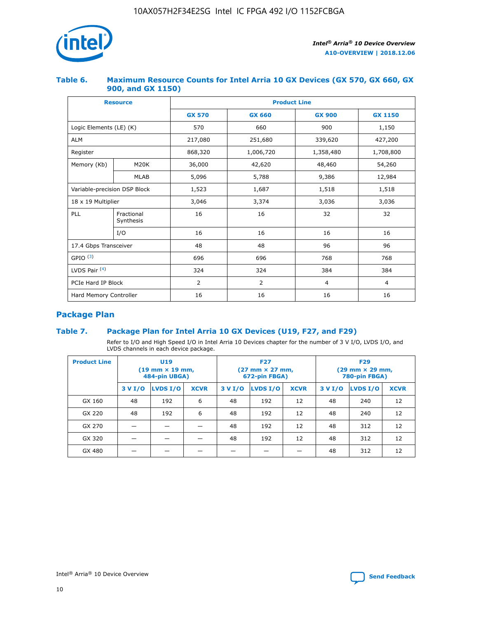

## **Table 6. Maximum Resource Counts for Intel Arria 10 GX Devices (GX 570, GX 660, GX 900, and GX 1150)**

|                              | <b>Resource</b>         | <b>Product Line</b> |                |                |                |  |  |  |
|------------------------------|-------------------------|---------------------|----------------|----------------|----------------|--|--|--|
|                              |                         | <b>GX 570</b>       | <b>GX 660</b>  | <b>GX 900</b>  | <b>GX 1150</b> |  |  |  |
| Logic Elements (LE) (K)      |                         | 570                 | 660            | 900            | 1,150          |  |  |  |
| <b>ALM</b>                   |                         | 217,080             | 251,680        | 339,620        | 427,200        |  |  |  |
| Register                     |                         | 868,320             | 1,006,720      | 1,358,480      | 1,708,800      |  |  |  |
| Memory (Kb)                  | <b>M20K</b>             | 36,000              | 42,620         | 48,460         | 54,260         |  |  |  |
| <b>MLAB</b>                  |                         | 5,096               | 5,788<br>9,386 |                | 12,984         |  |  |  |
| Variable-precision DSP Block |                         | 1,523               | 1,687          | 1,518          | 1,518          |  |  |  |
| $18 \times 19$ Multiplier    |                         | 3,046               | 3,374          | 3,036          | 3,036          |  |  |  |
| PLL                          | Fractional<br>Synthesis | 16                  | 16             | 32             | 32             |  |  |  |
|                              | I/O                     | 16                  | 16             | 16             | 16             |  |  |  |
| 17.4 Gbps Transceiver        |                         | 48                  | 48             | 96             | 96             |  |  |  |
| GPIO <sup>(3)</sup>          |                         | 696                 | 696            | 768            | 768            |  |  |  |
| LVDS Pair $(4)$              |                         | 324                 | 324            | 384            | 384            |  |  |  |
| PCIe Hard IP Block           |                         | 2                   | $\overline{2}$ | $\overline{4}$ | 4              |  |  |  |
| Hard Memory Controller       |                         | 16                  | 16             | 16             | 16             |  |  |  |

## **Package Plan**

## **Table 7. Package Plan for Intel Arria 10 GX Devices (U19, F27, and F29)**

Refer to I/O and High Speed I/O in Intel Arria 10 Devices chapter for the number of 3 V I/O, LVDS I/O, and LVDS channels in each device package.

| <b>Product Line</b> |         |          | U <sub>19</sub><br>$(19 \text{ mm} \times 19 \text{ mm})$<br>484-pin UBGA) |         | <b>F27</b><br>(27 mm × 27 mm,<br>672-pin FBGA) |             |         | <b>F29</b><br>(29 mm × 29 mm,<br>780-pin FBGA) |             |
|---------------------|---------|----------|----------------------------------------------------------------------------|---------|------------------------------------------------|-------------|---------|------------------------------------------------|-------------|
|                     | 3 V I/O | LVDS I/O | <b>XCVR</b>                                                                | 3 V I/O | LVDS I/O                                       | <b>XCVR</b> | 3 V I/O | LVDS I/O                                       | <b>XCVR</b> |
| GX 160              | 48      | 192      | 6                                                                          | 48      | 192                                            | 12          | 48      | 240                                            | 12          |
| GX 220              | 48      | 192      | 6                                                                          | 48      | 192                                            | 12          | 48      | 240                                            | 12          |
| GX 270              |         |          |                                                                            | 48      | 192                                            | 12          | 48      | 312                                            | 12          |
| GX 320              |         |          |                                                                            | 48      | 192                                            | 12          | 48      | 312                                            | 12          |
| GX 480              |         |          |                                                                            |         |                                                |             | 48      | 312                                            | 12          |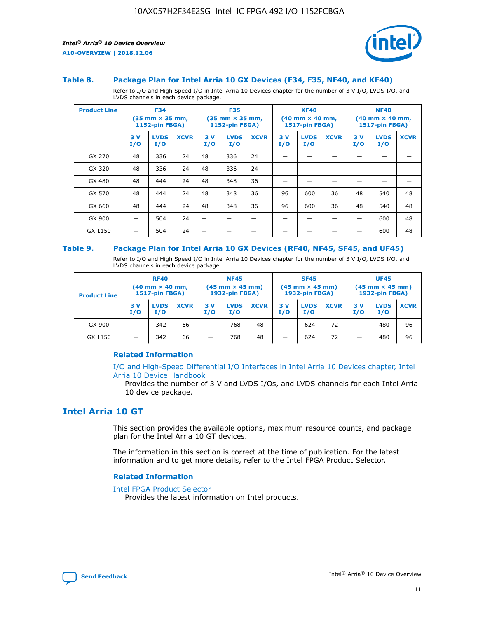

#### **Table 8. Package Plan for Intel Arria 10 GX Devices (F34, F35, NF40, and KF40)**

Refer to I/O and High Speed I/O in Intel Arria 10 Devices chapter for the number of 3 V I/O, LVDS I/O, and LVDS channels in each device package.

| <b>Product Line</b> |           | <b>F34</b><br>$(35 \text{ mm} \times 35 \text{ mm})$<br>1152-pin FBGA) |             | <b>F35</b> |                    | $(35 \text{ mm} \times 35 \text{ mm})$<br><b>1152-pin FBGA)</b> |           | <b>KF40</b><br>$(40$ mm $\times$ 40 mm,<br>1517-pin FBGA) |             |            | <b>NF40</b><br>$(40$ mm $\times$ 40 mm,<br><b>1517-pin FBGA)</b> |             |  |
|---------------------|-----------|------------------------------------------------------------------------|-------------|------------|--------------------|-----------------------------------------------------------------|-----------|-----------------------------------------------------------|-------------|------------|------------------------------------------------------------------|-------------|--|
|                     | 3V<br>I/O | <b>LVDS</b><br>I/O                                                     | <b>XCVR</b> | 3V<br>I/O  | <b>LVDS</b><br>I/O | <b>XCVR</b>                                                     | 3V<br>I/O | <b>LVDS</b><br>I/O                                        | <b>XCVR</b> | 3 V<br>I/O | <b>LVDS</b><br>I/O                                               | <b>XCVR</b> |  |
| GX 270              | 48        | 336                                                                    | 24          | 48         | 336                | 24                                                              |           |                                                           |             |            |                                                                  |             |  |
| GX 320              | 48        | 336                                                                    | 24          | 48         | 336                | 24                                                              |           |                                                           |             |            |                                                                  |             |  |
| GX 480              | 48        | 444                                                                    | 24          | 48         | 348                | 36                                                              |           |                                                           |             |            |                                                                  |             |  |
| GX 570              | 48        | 444                                                                    | 24          | 48         | 348                | 36                                                              | 96        | 600                                                       | 36          | 48         | 540                                                              | 48          |  |
| GX 660              | 48        | 444                                                                    | 24          | 48         | 348                | 36                                                              | 96        | 600                                                       | 36          | 48         | 540                                                              | 48          |  |
| GX 900              |           | 504                                                                    | 24          | -          |                    |                                                                 |           |                                                           |             |            | 600                                                              | 48          |  |
| GX 1150             |           | 504                                                                    | 24          |            |                    |                                                                 |           |                                                           |             |            | 600                                                              | 48          |  |

#### **Table 9. Package Plan for Intel Arria 10 GX Devices (RF40, NF45, SF45, and UF45)**

Refer to I/O and High Speed I/O in Intel Arria 10 Devices chapter for the number of 3 V I/O, LVDS I/O, and LVDS channels in each device package.

| <b>Product Line</b> | <b>RF40</b><br>$(40$ mm $\times$ 40 mm,<br>1517-pin FBGA) |                    | <b>NF45</b><br>$(45 \text{ mm} \times 45 \text{ mm})$<br><b>1932-pin FBGA)</b> |            |                    | <b>SF45</b><br>$(45 \text{ mm} \times 45 \text{ mm})$<br><b>1932-pin FBGA)</b> |            |                    | <b>UF45</b><br>$(45 \text{ mm} \times 45 \text{ mm})$<br><b>1932-pin FBGA)</b> |           |                    |             |
|---------------------|-----------------------------------------------------------|--------------------|--------------------------------------------------------------------------------|------------|--------------------|--------------------------------------------------------------------------------|------------|--------------------|--------------------------------------------------------------------------------|-----------|--------------------|-------------|
|                     | 3V<br>I/O                                                 | <b>LVDS</b><br>I/O | <b>XCVR</b>                                                                    | 3 V<br>I/O | <b>LVDS</b><br>I/O | <b>XCVR</b>                                                                    | 3 V<br>I/O | <b>LVDS</b><br>I/O | <b>XCVR</b>                                                                    | 3V<br>I/O | <b>LVDS</b><br>I/O | <b>XCVR</b> |
| GX 900              |                                                           | 342                | 66                                                                             | _          | 768                | 48                                                                             |            | 624                | 72                                                                             |           | 480                | 96          |
| GX 1150             |                                                           | 342                | 66                                                                             | _          | 768                | 48                                                                             |            | 624                | 72                                                                             |           | 480                | 96          |

### **Related Information**

[I/O and High-Speed Differential I/O Interfaces in Intel Arria 10 Devices chapter, Intel](https://www.intel.com/content/www/us/en/programmable/documentation/sam1403482614086.html#sam1403482030321) [Arria 10 Device Handbook](https://www.intel.com/content/www/us/en/programmable/documentation/sam1403482614086.html#sam1403482030321)

Provides the number of 3 V and LVDS I/Os, and LVDS channels for each Intel Arria 10 device package.

## **Intel Arria 10 GT**

This section provides the available options, maximum resource counts, and package plan for the Intel Arria 10 GT devices.

The information in this section is correct at the time of publication. For the latest information and to get more details, refer to the Intel FPGA Product Selector.

#### **Related Information**

#### [Intel FPGA Product Selector](http://www.altera.com/products/selector/psg-selector.html)

Provides the latest information on Intel products.

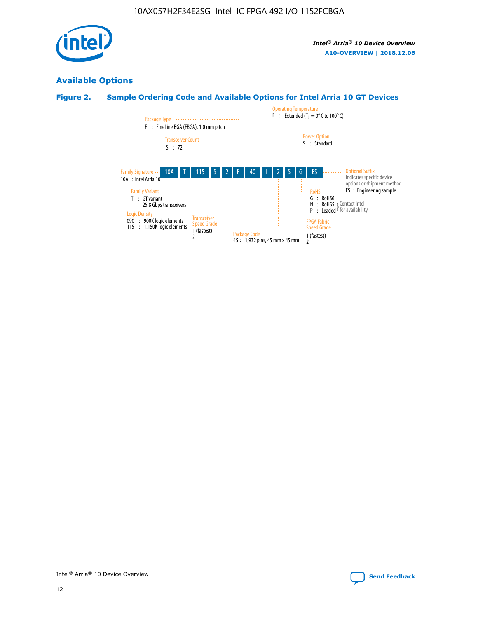

## **Available Options**

## **Figure 2. Sample Ordering Code and Available Options for Intel Arria 10 GT Devices**

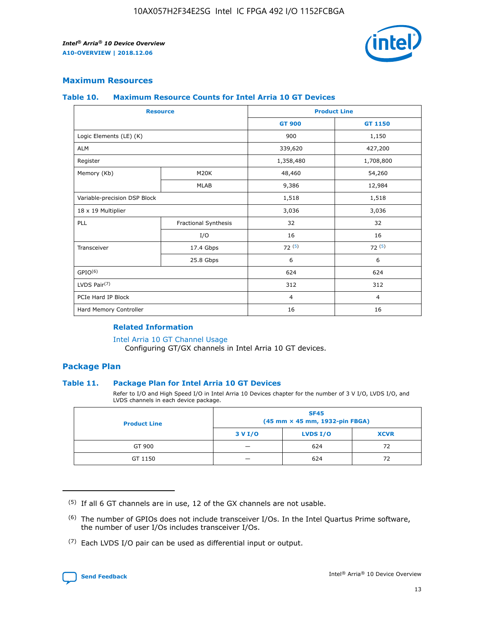

## **Maximum Resources**

#### **Table 10. Maximum Resource Counts for Intel Arria 10 GT Devices**

| <b>Resource</b>              |                      |                | <b>Product Line</b> |  |
|------------------------------|----------------------|----------------|---------------------|--|
|                              |                      | <b>GT 900</b>  | <b>GT 1150</b>      |  |
| Logic Elements (LE) (K)      |                      | 900            | 1,150               |  |
| <b>ALM</b>                   |                      | 339,620        | 427,200             |  |
| Register                     |                      | 1,358,480      | 1,708,800           |  |
| Memory (Kb)                  | M20K                 | 48,460         | 54,260              |  |
|                              | <b>MLAB</b>          | 9,386          | 12,984              |  |
| Variable-precision DSP Block |                      | 1,518          | 1,518               |  |
| 18 x 19 Multiplier           |                      | 3,036          | 3,036               |  |
| <b>PLL</b>                   | Fractional Synthesis | 32             | 32                  |  |
|                              | I/O                  | 16             | 16                  |  |
| Transceiver                  | 17.4 Gbps            | 72(5)          | 72(5)               |  |
|                              | 25.8 Gbps            | 6              | 6                   |  |
| GPIO <sup>(6)</sup>          |                      | 624            | 624                 |  |
| LVDS Pair $(7)$              |                      | 312            | 312                 |  |
| PCIe Hard IP Block           |                      | $\overline{4}$ | $\overline{4}$      |  |
| Hard Memory Controller       |                      | 16             | 16                  |  |

### **Related Information**

#### [Intel Arria 10 GT Channel Usage](https://www.intel.com/content/www/us/en/programmable/documentation/nik1398707230472.html#nik1398707008178)

Configuring GT/GX channels in Intel Arria 10 GT devices.

## **Package Plan**

#### **Table 11. Package Plan for Intel Arria 10 GT Devices**

Refer to I/O and High Speed I/O in Intel Arria 10 Devices chapter for the number of 3 V I/O, LVDS I/O, and LVDS channels in each device package.

| <b>Product Line</b> | <b>SF45</b><br>(45 mm × 45 mm, 1932-pin FBGA) |                 |             |  |  |  |
|---------------------|-----------------------------------------------|-----------------|-------------|--|--|--|
|                     | 3 V I/O                                       | <b>LVDS I/O</b> | <b>XCVR</b> |  |  |  |
| GT 900              |                                               | 624             | 72          |  |  |  |
| GT 1150             |                                               | 624             |             |  |  |  |

<sup>(7)</sup> Each LVDS I/O pair can be used as differential input or output.



 $(5)$  If all 6 GT channels are in use, 12 of the GX channels are not usable.

<sup>(6)</sup> The number of GPIOs does not include transceiver I/Os. In the Intel Quartus Prime software, the number of user I/Os includes transceiver I/Os.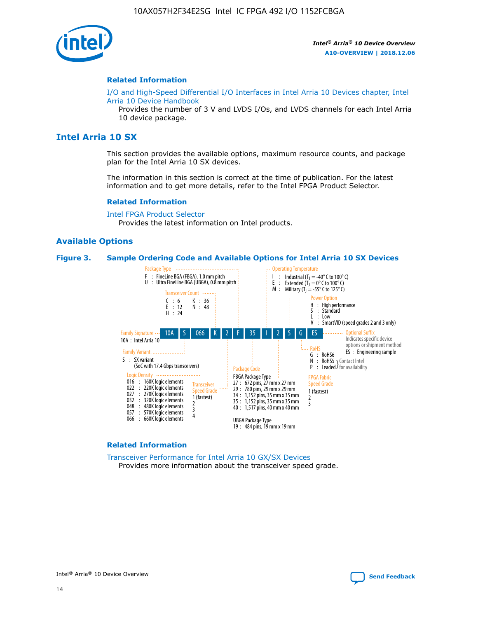

#### **Related Information**

[I/O and High-Speed Differential I/O Interfaces in Intel Arria 10 Devices chapter, Intel](https://www.intel.com/content/www/us/en/programmable/documentation/sam1403482614086.html#sam1403482030321) [Arria 10 Device Handbook](https://www.intel.com/content/www/us/en/programmable/documentation/sam1403482614086.html#sam1403482030321)

Provides the number of 3 V and LVDS I/Os, and LVDS channels for each Intel Arria 10 device package.

## **Intel Arria 10 SX**

This section provides the available options, maximum resource counts, and package plan for the Intel Arria 10 SX devices.

The information in this section is correct at the time of publication. For the latest information and to get more details, refer to the Intel FPGA Product Selector.

#### **Related Information**

[Intel FPGA Product Selector](http://www.altera.com/products/selector/psg-selector.html) Provides the latest information on Intel products.

#### **Available Options**

#### **Figure 3. Sample Ordering Code and Available Options for Intel Arria 10 SX Devices**



#### **Related Information**

[Transceiver Performance for Intel Arria 10 GX/SX Devices](https://www.intel.com/content/www/us/en/programmable/documentation/mcn1413182292568.html#mcn1413213965502) Provides more information about the transceiver speed grade.

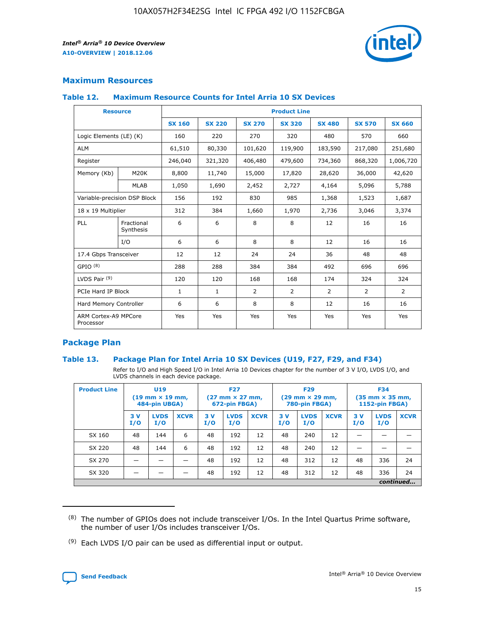

## **Maximum Resources**

#### **Table 12. Maximum Resource Counts for Intel Arria 10 SX Devices**

| <b>Resource</b>                   |                         | <b>Product Line</b> |               |                |                |                |                |                |  |  |  |
|-----------------------------------|-------------------------|---------------------|---------------|----------------|----------------|----------------|----------------|----------------|--|--|--|
|                                   |                         | <b>SX 160</b>       | <b>SX 220</b> | <b>SX 270</b>  | <b>SX 320</b>  | <b>SX 480</b>  | <b>SX 570</b>  | <b>SX 660</b>  |  |  |  |
| Logic Elements (LE) (K)           |                         | 160                 | 220           | 270            | 320            | 480            | 570            | 660            |  |  |  |
| <b>ALM</b>                        |                         | 61,510              | 80,330        | 101,620        | 119,900        | 183,590        | 217,080        | 251,680        |  |  |  |
| Register                          |                         | 246,040             | 321,320       | 406,480        | 479,600        | 734,360        | 868,320        | 1,006,720      |  |  |  |
| Memory (Kb)                       | M <sub>20</sub> K       | 8,800               | 11,740        | 15,000         | 17,820         | 28,620         | 36,000         | 42,620         |  |  |  |
|                                   | <b>MLAB</b>             | 1,050               | 1,690         | 2,452          | 2,727          | 4,164          | 5,096          | 5,788          |  |  |  |
| Variable-precision DSP Block      |                         | 156                 | 192           | 830            | 985            | 1,368          | 1,523          | 1,687          |  |  |  |
| 18 x 19 Multiplier                |                         | 312                 | 384           | 1,660          | 1,970          | 2,736          | 3,046          | 3,374          |  |  |  |
| PLL                               | Fractional<br>Synthesis | 6                   | 6             | 8              | 8              | 12             | 16             | 16             |  |  |  |
|                                   | I/O                     | 6                   | 6             | 8              | 8              | 12             | 16             | 16             |  |  |  |
| 17.4 Gbps Transceiver             |                         | 12                  | 12            | 24             | 24             | 36             | 48             | 48             |  |  |  |
| GPIO <sup>(8)</sup>               |                         | 288                 | 288           | 384            | 384            | 492            | 696            | 696            |  |  |  |
| LVDS Pair $(9)$                   |                         | 120                 | 120           | 168            | 168            | 174            | 324            | 324            |  |  |  |
| PCIe Hard IP Block                |                         | $\mathbf{1}$        | $\mathbf{1}$  | $\overline{2}$ | $\overline{2}$ | $\overline{2}$ | $\overline{2}$ | $\overline{2}$ |  |  |  |
| Hard Memory Controller            |                         | 6                   | 6             | 8              | 8              | 12             | 16             | 16             |  |  |  |
| ARM Cortex-A9 MPCore<br>Processor |                         | Yes                 | Yes           | Yes            | Yes            | Yes            | Yes            | <b>Yes</b>     |  |  |  |

## **Package Plan**

#### **Table 13. Package Plan for Intel Arria 10 SX Devices (U19, F27, F29, and F34)**

Refer to I/O and High Speed I/O in Intel Arria 10 Devices chapter for the number of 3 V I/O, LVDS I/O, and LVDS channels in each device package.

| <b>Product Line</b> | <b>U19</b><br>$(19 \text{ mm} \times 19 \text{ mm})$<br>484-pin UBGA) |                    | <b>F27</b><br>$(27 \text{ mm} \times 27 \text{ mm})$<br>672-pin FBGA) |           | <b>F29</b><br>$(29$ mm $\times$ 29 mm,<br>780-pin FBGA) |             |            | <b>F34</b><br>$(35 \text{ mm} \times 35 \text{ mm})$<br>1152-pin FBGA) |             |           |                    |             |
|---------------------|-----------------------------------------------------------------------|--------------------|-----------------------------------------------------------------------|-----------|---------------------------------------------------------|-------------|------------|------------------------------------------------------------------------|-------------|-----------|--------------------|-------------|
|                     | 3V<br>I/O                                                             | <b>LVDS</b><br>I/O | <b>XCVR</b>                                                           | 3V<br>I/O | <b>LVDS</b><br>I/O                                      | <b>XCVR</b> | 3 V<br>I/O | <b>LVDS</b><br>I/O                                                     | <b>XCVR</b> | 3V<br>I/O | <b>LVDS</b><br>I/O | <b>XCVR</b> |
| SX 160              | 48                                                                    | 144                | 6                                                                     | 48        | 192                                                     | 12          | 48         | 240                                                                    | 12          | –         |                    |             |
| SX 220              | 48                                                                    | 144                | 6                                                                     | 48        | 192                                                     | 12          | 48         | 240                                                                    | 12          |           |                    |             |
| SX 270              |                                                                       |                    |                                                                       | 48        | 192                                                     | 12          | 48         | 312                                                                    | 12          | 48        | 336                | 24          |
| SX 320              |                                                                       |                    |                                                                       | 48        | 192                                                     | 12          | 48         | 312                                                                    | 12          | 48        | 336                | 24          |
| continued           |                                                                       |                    |                                                                       |           |                                                         |             |            |                                                                        |             |           |                    |             |

 $(8)$  The number of GPIOs does not include transceiver I/Os. In the Intel Quartus Prime software, the number of user I/Os includes transceiver I/Os.

 $(9)$  Each LVDS I/O pair can be used as differential input or output.

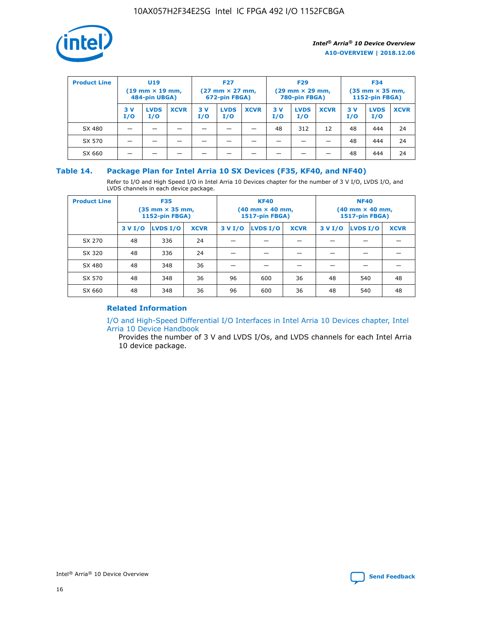

| <b>Product Line</b> | U <sub>19</sub><br>$(19 \text{ mm} \times 19 \text{ mm})$<br>484-pin UBGA) |                    | <b>F27</b><br>$(27 \text{ mm} \times 27 \text{ mm})$<br>672-pin FBGA) |           |                    | <b>F29</b><br>$(29 \text{ mm} \times 29 \text{ mm})$<br>780-pin FBGA) |           |                    | <b>F34</b><br>$(35$ mm $\times$ 35 mm,<br><b>1152-pin FBGA)</b> |           |                    |             |
|---------------------|----------------------------------------------------------------------------|--------------------|-----------------------------------------------------------------------|-----------|--------------------|-----------------------------------------------------------------------|-----------|--------------------|-----------------------------------------------------------------|-----------|--------------------|-------------|
|                     | 3V<br>I/O                                                                  | <b>LVDS</b><br>I/O | <b>XCVR</b>                                                           | 3V<br>I/O | <b>LVDS</b><br>I/O | <b>XCVR</b>                                                           | 3V<br>I/O | <b>LVDS</b><br>I/O | <b>XCVR</b>                                                     | 3V<br>I/O | <b>LVDS</b><br>I/O | <b>XCVR</b> |
| SX 480              |                                                                            |                    |                                                                       |           |                    |                                                                       | 48        | 312                | 12                                                              | 48        | 444                | 24          |
| SX 570              |                                                                            |                    |                                                                       |           |                    |                                                                       |           |                    |                                                                 | 48        | 444                | 24          |
| SX 660              |                                                                            |                    |                                                                       |           |                    |                                                                       |           |                    |                                                                 | 48        | 444                | 24          |

## **Table 14. Package Plan for Intel Arria 10 SX Devices (F35, KF40, and NF40)**

Refer to I/O and High Speed I/O in Intel Arria 10 Devices chapter for the number of 3 V I/O, LVDS I/O, and LVDS channels in each device package.

| <b>Product Line</b> | <b>F35</b><br>$(35 \text{ mm} \times 35 \text{ mm})$<br><b>1152-pin FBGA)</b> |          |             |                                           | <b>KF40</b><br>(40 mm × 40 mm,<br>1517-pin FBGA) |    | <b>NF40</b><br>$(40 \text{ mm} \times 40 \text{ mm})$<br>1517-pin FBGA) |          |             |  |
|---------------------|-------------------------------------------------------------------------------|----------|-------------|-------------------------------------------|--------------------------------------------------|----|-------------------------------------------------------------------------|----------|-------------|--|
|                     | 3 V I/O                                                                       | LVDS I/O | <b>XCVR</b> | <b>LVDS I/O</b><br><b>XCVR</b><br>3 V I/O |                                                  |    | 3 V I/O                                                                 | LVDS I/O | <b>XCVR</b> |  |
| SX 270              | 48                                                                            | 336      | 24          |                                           |                                                  |    |                                                                         |          |             |  |
| SX 320              | 48                                                                            | 336      | 24          |                                           |                                                  |    |                                                                         |          |             |  |
| SX 480              | 48                                                                            | 348      | 36          |                                           |                                                  |    |                                                                         |          |             |  |
| SX 570              | 48                                                                            | 348      | 36          | 96<br>36<br>600                           |                                                  | 48 | 540                                                                     | 48       |             |  |
| SX 660              | 48                                                                            | 348      | 36          | 96                                        | 600                                              | 36 | 48                                                                      | 540      | 48          |  |

## **Related Information**

[I/O and High-Speed Differential I/O Interfaces in Intel Arria 10 Devices chapter, Intel](https://www.intel.com/content/www/us/en/programmable/documentation/sam1403482614086.html#sam1403482030321) [Arria 10 Device Handbook](https://www.intel.com/content/www/us/en/programmable/documentation/sam1403482614086.html#sam1403482030321)

Provides the number of 3 V and LVDS I/Os, and LVDS channels for each Intel Arria 10 device package.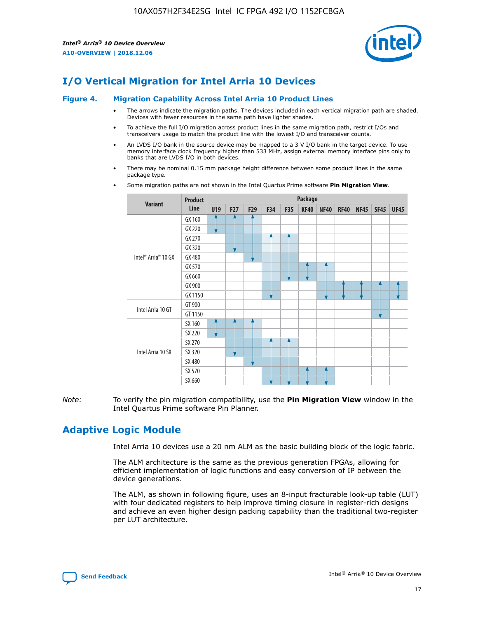

# **I/O Vertical Migration for Intel Arria 10 Devices**

#### **Figure 4. Migration Capability Across Intel Arria 10 Product Lines**

- The arrows indicate the migration paths. The devices included in each vertical migration path are shaded. Devices with fewer resources in the same path have lighter shades.
- To achieve the full I/O migration across product lines in the same migration path, restrict I/Os and transceivers usage to match the product line with the lowest I/O and transceiver counts.
- An LVDS I/O bank in the source device may be mapped to a 3 V I/O bank in the target device. To use memory interface clock frequency higher than 533 MHz, assign external memory interface pins only to banks that are LVDS I/O in both devices.
- There may be nominal 0.15 mm package height difference between some product lines in the same package type.
	- **Variant Product Line Package U19 F27 F29 F34 F35 KF40 NF40 RF40 NF45 SF45 UF45** Intel® Arria® 10 GX GX 160 GX 220 GX 270 GX 320 GX 480 GX 570 GX 660 GX 900 GX 1150 Intel Arria 10 GT GT 900 GT 1150 Intel Arria 10 SX SX 160 SX 220 SX 270 SX 320 SX 480 SX 570 SX 660
- Some migration paths are not shown in the Intel Quartus Prime software **Pin Migration View**.

*Note:* To verify the pin migration compatibility, use the **Pin Migration View** window in the Intel Quartus Prime software Pin Planner.

# **Adaptive Logic Module**

Intel Arria 10 devices use a 20 nm ALM as the basic building block of the logic fabric.

The ALM architecture is the same as the previous generation FPGAs, allowing for efficient implementation of logic functions and easy conversion of IP between the device generations.

The ALM, as shown in following figure, uses an 8-input fracturable look-up table (LUT) with four dedicated registers to help improve timing closure in register-rich designs and achieve an even higher design packing capability than the traditional two-register per LUT architecture.

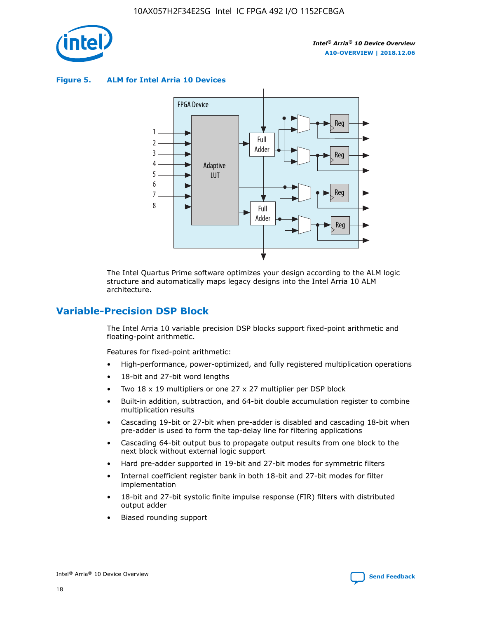

**Figure 5. ALM for Intel Arria 10 Devices**



The Intel Quartus Prime software optimizes your design according to the ALM logic structure and automatically maps legacy designs into the Intel Arria 10 ALM architecture.

## **Variable-Precision DSP Block**

The Intel Arria 10 variable precision DSP blocks support fixed-point arithmetic and floating-point arithmetic.

Features for fixed-point arithmetic:

- High-performance, power-optimized, and fully registered multiplication operations
- 18-bit and 27-bit word lengths
- Two 18 x 19 multipliers or one 27 x 27 multiplier per DSP block
- Built-in addition, subtraction, and 64-bit double accumulation register to combine multiplication results
- Cascading 19-bit or 27-bit when pre-adder is disabled and cascading 18-bit when pre-adder is used to form the tap-delay line for filtering applications
- Cascading 64-bit output bus to propagate output results from one block to the next block without external logic support
- Hard pre-adder supported in 19-bit and 27-bit modes for symmetric filters
- Internal coefficient register bank in both 18-bit and 27-bit modes for filter implementation
- 18-bit and 27-bit systolic finite impulse response (FIR) filters with distributed output adder
- Biased rounding support

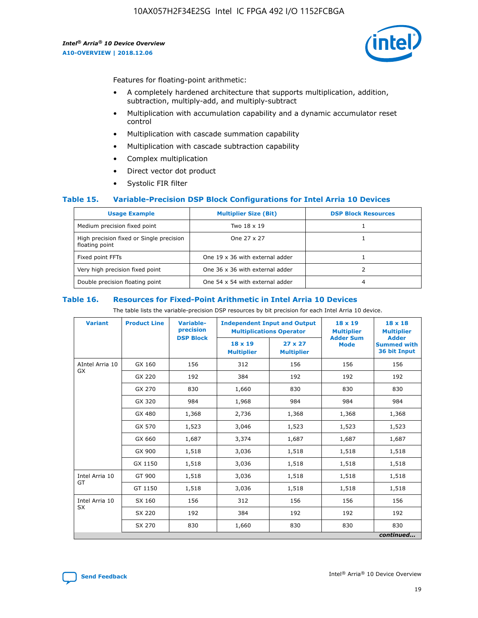

Features for floating-point arithmetic:

- A completely hardened architecture that supports multiplication, addition, subtraction, multiply-add, and multiply-subtract
- Multiplication with accumulation capability and a dynamic accumulator reset control
- Multiplication with cascade summation capability
- Multiplication with cascade subtraction capability
- Complex multiplication
- Direct vector dot product
- Systolic FIR filter

#### **Table 15. Variable-Precision DSP Block Configurations for Intel Arria 10 Devices**

| <b>Usage Example</b>                                       | <b>Multiplier Size (Bit)</b>    | <b>DSP Block Resources</b> |
|------------------------------------------------------------|---------------------------------|----------------------------|
| Medium precision fixed point                               | Two 18 x 19                     |                            |
| High precision fixed or Single precision<br>floating point | One 27 x 27                     |                            |
| Fixed point FFTs                                           | One 19 x 36 with external adder |                            |
| Very high precision fixed point                            | One 36 x 36 with external adder |                            |
| Double precision floating point                            | One 54 x 54 with external adder | 4                          |

#### **Table 16. Resources for Fixed-Point Arithmetic in Intel Arria 10 Devices**

The table lists the variable-precision DSP resources by bit precision for each Intel Arria 10 device.

| <b>Variant</b>        | <b>Product Line</b> | Variable-<br>precision<br><b>DSP Block</b> | <b>Independent Input and Output</b><br><b>Multiplications Operator</b> |                                     | 18 x 19<br><b>Multiplier</b><br><b>Adder Sum</b> | $18 \times 18$<br><b>Multiplier</b><br><b>Adder</b> |
|-----------------------|---------------------|--------------------------------------------|------------------------------------------------------------------------|-------------------------------------|--------------------------------------------------|-----------------------------------------------------|
|                       |                     |                                            | 18 x 19<br><b>Multiplier</b>                                           | $27 \times 27$<br><b>Multiplier</b> | <b>Mode</b>                                      | <b>Summed with</b><br>36 bit Input                  |
| AIntel Arria 10<br>GX | GX 160              | 156                                        | 312                                                                    | 156                                 | 156                                              | 156                                                 |
|                       | GX 220              | 192                                        | 384                                                                    | 192                                 | 192                                              | 192                                                 |
|                       | GX 270              | 830                                        | 1,660                                                                  | 830                                 | 830                                              | 830                                                 |
|                       | GX 320              | 984                                        | 1,968                                                                  | 984                                 | 984                                              | 984                                                 |
|                       | GX 480              | 1,368                                      | 2,736                                                                  | 1,368                               | 1,368                                            | 1,368                                               |
|                       | GX 570              | 1,523                                      | 3,046                                                                  | 1,523                               | 1,523                                            | 1,523                                               |
|                       | GX 660              | 1,687                                      | 3,374                                                                  | 1,687                               | 1,687                                            | 1,687                                               |
|                       | GX 900              | 1,518                                      | 3,036                                                                  | 1,518                               | 1,518                                            | 1,518                                               |
|                       | GX 1150             | 1,518                                      | 3,036                                                                  | 1,518                               | 1,518                                            | 1,518                                               |
| Intel Arria 10        | GT 900              | 1,518                                      | 3,036                                                                  | 1,518                               | 1,518                                            | 1,518                                               |
| GT                    | GT 1150             | 1,518                                      | 3,036                                                                  | 1,518                               | 1,518                                            | 1,518                                               |
| Intel Arria 10        | SX 160              | 156                                        | 312                                                                    | 156                                 | 156                                              | 156                                                 |
| <b>SX</b>             | SX 220<br>192       |                                            | 384                                                                    | 192                                 | 192                                              | 192                                                 |
|                       | SX 270              | 830                                        | 1,660                                                                  | 830                                 | 830                                              | 830                                                 |
|                       |                     |                                            |                                                                        |                                     |                                                  | continued                                           |

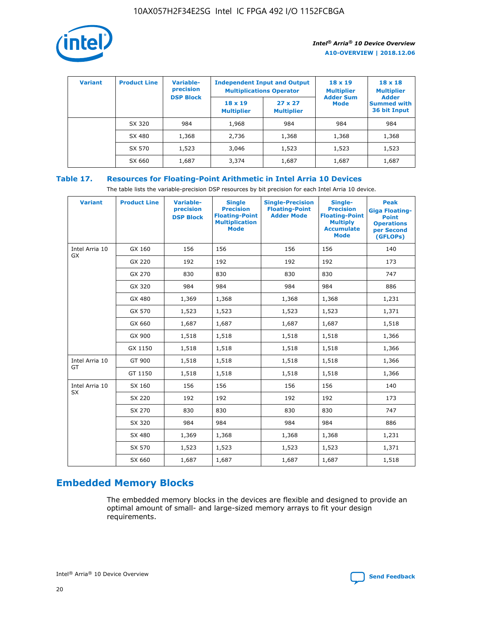

| <b>Variant</b> | <b>Product Line</b> | Variable-<br>precision | <b>Independent Input and Output</b><br><b>Multiplications Operator</b> |                                     | $18 \times 19$<br><b>Multiplier</b> | $18 \times 18$<br><b>Multiplier</b><br><b>Adder</b> |  |
|----------------|---------------------|------------------------|------------------------------------------------------------------------|-------------------------------------|-------------------------------------|-----------------------------------------------------|--|
|                |                     | <b>DSP Block</b>       | $18 \times 19$<br><b>Multiplier</b>                                    | $27 \times 27$<br><b>Multiplier</b> | <b>Adder Sum</b><br><b>Mode</b>     | <b>Summed with</b><br>36 bit Input                  |  |
|                | SX 320              | 984                    | 1,968                                                                  | 984                                 | 984                                 | 984                                                 |  |
|                | SX 480              | 1,368                  | 2,736                                                                  | 1,368                               | 1,368                               | 1,368                                               |  |
|                | SX 570              | 1,523                  | 3,046                                                                  | 1,523                               | 1,523                               | 1,523                                               |  |
|                | SX 660              | 1,687                  | 3,374                                                                  | 1,687                               | 1,687                               | 1,687                                               |  |

## **Table 17. Resources for Floating-Point Arithmetic in Intel Arria 10 Devices**

The table lists the variable-precision DSP resources by bit precision for each Intel Arria 10 device.

| <b>Variant</b> | <b>Product Line</b> | <b>Variable-</b><br>precision<br><b>DSP Block</b> | <b>Single</b><br><b>Precision</b><br><b>Floating-Point</b><br><b>Multiplication</b><br><b>Mode</b> | <b>Single-Precision</b><br><b>Floating-Point</b><br><b>Adder Mode</b> | Single-<br><b>Precision</b><br><b>Floating-Point</b><br><b>Multiply</b><br><b>Accumulate</b><br><b>Mode</b> | <b>Peak</b><br><b>Giga Floating-</b><br><b>Point</b><br><b>Operations</b><br>per Second<br>(GFLOPs) |
|----------------|---------------------|---------------------------------------------------|----------------------------------------------------------------------------------------------------|-----------------------------------------------------------------------|-------------------------------------------------------------------------------------------------------------|-----------------------------------------------------------------------------------------------------|
| Intel Arria 10 | GX 160              | 156                                               | 156                                                                                                | 156                                                                   | 156                                                                                                         | 140                                                                                                 |
| GX             | GX 220              | 192                                               | 192                                                                                                | 192                                                                   | 192                                                                                                         | 173                                                                                                 |
|                | GX 270              | 830                                               | 830                                                                                                | 830                                                                   | 830                                                                                                         | 747                                                                                                 |
|                | GX 320              | 984                                               | 984                                                                                                | 984                                                                   | 984                                                                                                         | 886                                                                                                 |
|                | GX 480              | 1,369                                             | 1,368                                                                                              | 1,368                                                                 | 1,368                                                                                                       | 1,231                                                                                               |
|                | GX 570              | 1,523                                             | 1,523                                                                                              | 1,523                                                                 | 1,523                                                                                                       | 1,371                                                                                               |
|                | GX 660              | 1,687                                             | 1,687                                                                                              | 1,687                                                                 | 1,687                                                                                                       | 1,518                                                                                               |
|                | GX 900              | 1,518                                             | 1,518                                                                                              | 1,518                                                                 | 1,518                                                                                                       | 1,366                                                                                               |
|                | GX 1150             | 1,518                                             | 1,518                                                                                              | 1,518                                                                 | 1,518                                                                                                       | 1,366                                                                                               |
| Intel Arria 10 | GT 900              | 1,518                                             | 1,518                                                                                              | 1,518                                                                 | 1,518                                                                                                       | 1,366                                                                                               |
| GT             | GT 1150             | 1,518                                             | 1,518                                                                                              | 1,518                                                                 | 1,518                                                                                                       | 1,366                                                                                               |
| Intel Arria 10 | SX 160              | 156                                               | 156                                                                                                | 156                                                                   | 156                                                                                                         | 140                                                                                                 |
| SX             | SX 220              | 192                                               | 192                                                                                                | 192                                                                   | 192                                                                                                         | 173                                                                                                 |
|                | SX 270              | 830                                               | 830                                                                                                | 830                                                                   | 830                                                                                                         | 747                                                                                                 |
|                | SX 320              | 984                                               | 984                                                                                                | 984                                                                   | 984                                                                                                         | 886                                                                                                 |
|                | SX 480              | 1,369                                             | 1,368                                                                                              | 1,368                                                                 | 1,368                                                                                                       | 1,231                                                                                               |
|                | SX 570              | 1,523                                             | 1,523                                                                                              | 1,523                                                                 | 1,523                                                                                                       | 1,371                                                                                               |
|                | SX 660              | 1,687                                             | 1,687                                                                                              | 1,687                                                                 | 1,687                                                                                                       | 1,518                                                                                               |

# **Embedded Memory Blocks**

The embedded memory blocks in the devices are flexible and designed to provide an optimal amount of small- and large-sized memory arrays to fit your design requirements.

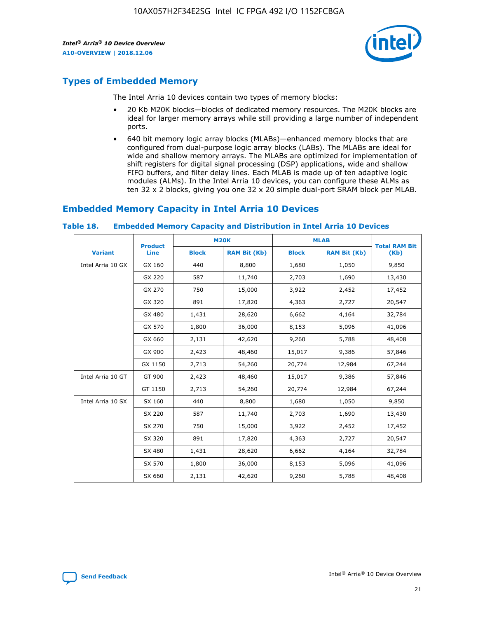

# **Types of Embedded Memory**

The Intel Arria 10 devices contain two types of memory blocks:

- 20 Kb M20K blocks—blocks of dedicated memory resources. The M20K blocks are ideal for larger memory arrays while still providing a large number of independent ports.
- 640 bit memory logic array blocks (MLABs)—enhanced memory blocks that are configured from dual-purpose logic array blocks (LABs). The MLABs are ideal for wide and shallow memory arrays. The MLABs are optimized for implementation of shift registers for digital signal processing (DSP) applications, wide and shallow FIFO buffers, and filter delay lines. Each MLAB is made up of ten adaptive logic modules (ALMs). In the Intel Arria 10 devices, you can configure these ALMs as ten 32 x 2 blocks, giving you one 32 x 20 simple dual-port SRAM block per MLAB.

# **Embedded Memory Capacity in Intel Arria 10 Devices**

|                   | <b>Product</b> |              | <b>M20K</b>         | <b>MLAB</b>  |                     | <b>Total RAM Bit</b> |
|-------------------|----------------|--------------|---------------------|--------------|---------------------|----------------------|
| <b>Variant</b>    | Line           | <b>Block</b> | <b>RAM Bit (Kb)</b> | <b>Block</b> | <b>RAM Bit (Kb)</b> | (Kb)                 |
| Intel Arria 10 GX | GX 160         | 440          | 8,800               | 1,680        | 1,050               | 9,850                |
|                   | GX 220         | 587          | 11,740              | 2,703        | 1,690               | 13,430               |
|                   | GX 270         | 750          | 15,000              | 3,922        | 2,452               | 17,452               |
|                   | GX 320         | 891          | 17,820              | 4,363        | 2,727               | 20,547               |
|                   | GX 480         | 1,431        | 28,620              | 6,662        | 4,164               | 32,784               |
|                   | GX 570         | 1,800        | 36,000              | 8,153        | 5,096               | 41,096               |
|                   | GX 660         | 2,131        | 42,620              | 9,260        | 5,788               | 48,408               |
|                   | GX 900         | 2,423        | 48,460              | 15,017       | 9,386               | 57,846               |
|                   | GX 1150        | 2,713        | 54,260              | 20,774       | 12,984              | 67,244               |
| Intel Arria 10 GT | GT 900         | 2,423        | 48,460              | 15,017       | 9,386               | 57,846               |
|                   | GT 1150        | 2,713        | 54,260              | 20,774       | 12,984              | 67,244               |
| Intel Arria 10 SX | SX 160         | 440          | 8,800               | 1,680        | 1,050               | 9,850                |
|                   | SX 220         | 587          | 11,740              | 2,703        | 1,690               | 13,430               |
|                   | SX 270         | 750          | 15,000              | 3,922        | 2,452               | 17,452               |
|                   | SX 320         | 891          | 17,820              | 4,363        | 2,727               | 20,547               |
|                   | SX 480         | 1,431        | 28,620              | 6,662        | 4,164               | 32,784               |
|                   | SX 570         | 1,800        | 36,000              | 8,153        | 5,096               | 41,096               |
|                   | SX 660         | 2,131        | 42,620              | 9,260        | 5,788               | 48,408               |

#### **Table 18. Embedded Memory Capacity and Distribution in Intel Arria 10 Devices**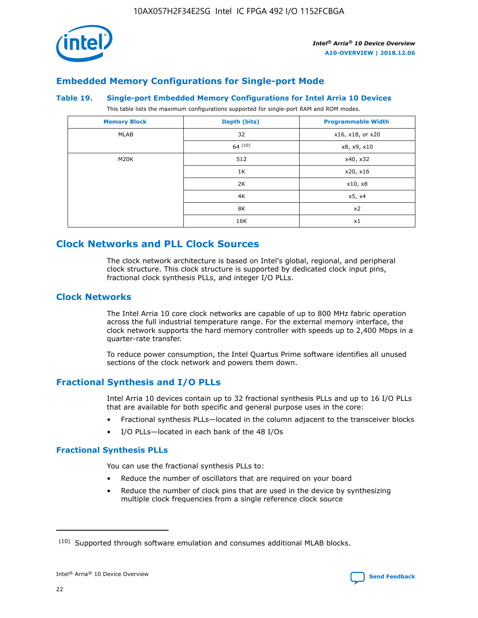

## **Embedded Memory Configurations for Single-port Mode**

#### **Table 19. Single-port Embedded Memory Configurations for Intel Arria 10 Devices**

This table lists the maximum configurations supported for single-port RAM and ROM modes.

| <b>Memory Block</b> | Depth (bits) | <b>Programmable Width</b> |
|---------------------|--------------|---------------------------|
| MLAB                | 32           | x16, x18, or x20          |
|                     | 64(10)       | x8, x9, x10               |
| M20K                | 512          | x40, x32                  |
|                     | 1K           | x20, x16                  |
|                     | 2K           | x10, x8                   |
|                     | 4K           | x5, x4                    |
|                     | 8K           | x2                        |
|                     | 16K          | x1                        |

## **Clock Networks and PLL Clock Sources**

The clock network architecture is based on Intel's global, regional, and peripheral clock structure. This clock structure is supported by dedicated clock input pins, fractional clock synthesis PLLs, and integer I/O PLLs.

## **Clock Networks**

The Intel Arria 10 core clock networks are capable of up to 800 MHz fabric operation across the full industrial temperature range. For the external memory interface, the clock network supports the hard memory controller with speeds up to 2,400 Mbps in a quarter-rate transfer.

To reduce power consumption, the Intel Quartus Prime software identifies all unused sections of the clock network and powers them down.

## **Fractional Synthesis and I/O PLLs**

Intel Arria 10 devices contain up to 32 fractional synthesis PLLs and up to 16 I/O PLLs that are available for both specific and general purpose uses in the core:

- Fractional synthesis PLLs—located in the column adjacent to the transceiver blocks
- I/O PLLs—located in each bank of the 48 I/Os

#### **Fractional Synthesis PLLs**

You can use the fractional synthesis PLLs to:

- Reduce the number of oscillators that are required on your board
- Reduce the number of clock pins that are used in the device by synthesizing multiple clock frequencies from a single reference clock source

<sup>(10)</sup> Supported through software emulation and consumes additional MLAB blocks.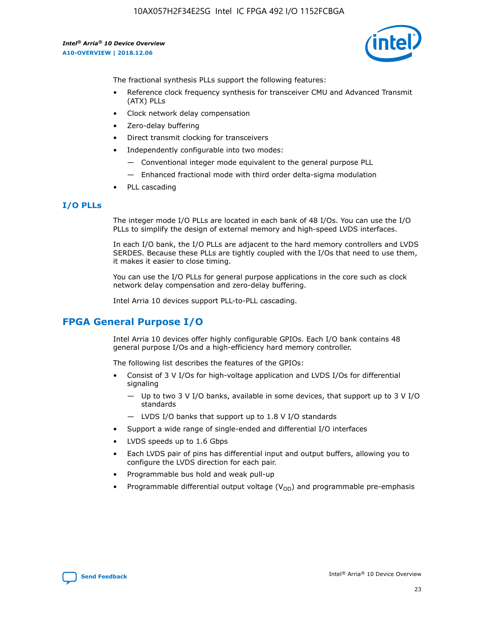

The fractional synthesis PLLs support the following features:

- Reference clock frequency synthesis for transceiver CMU and Advanced Transmit (ATX) PLLs
- Clock network delay compensation
- Zero-delay buffering
- Direct transmit clocking for transceivers
- Independently configurable into two modes:
	- Conventional integer mode equivalent to the general purpose PLL
	- Enhanced fractional mode with third order delta-sigma modulation
- PLL cascading

## **I/O PLLs**

The integer mode I/O PLLs are located in each bank of 48 I/Os. You can use the I/O PLLs to simplify the design of external memory and high-speed LVDS interfaces.

In each I/O bank, the I/O PLLs are adjacent to the hard memory controllers and LVDS SERDES. Because these PLLs are tightly coupled with the I/Os that need to use them, it makes it easier to close timing.

You can use the I/O PLLs for general purpose applications in the core such as clock network delay compensation and zero-delay buffering.

Intel Arria 10 devices support PLL-to-PLL cascading.

# **FPGA General Purpose I/O**

Intel Arria 10 devices offer highly configurable GPIOs. Each I/O bank contains 48 general purpose I/Os and a high-efficiency hard memory controller.

The following list describes the features of the GPIOs:

- Consist of 3 V I/Os for high-voltage application and LVDS I/Os for differential signaling
	- Up to two 3 V I/O banks, available in some devices, that support up to 3 V I/O standards
	- LVDS I/O banks that support up to 1.8 V I/O standards
- Support a wide range of single-ended and differential I/O interfaces
- LVDS speeds up to 1.6 Gbps
- Each LVDS pair of pins has differential input and output buffers, allowing you to configure the LVDS direction for each pair.
- Programmable bus hold and weak pull-up
- Programmable differential output voltage  $(V_{OD})$  and programmable pre-emphasis

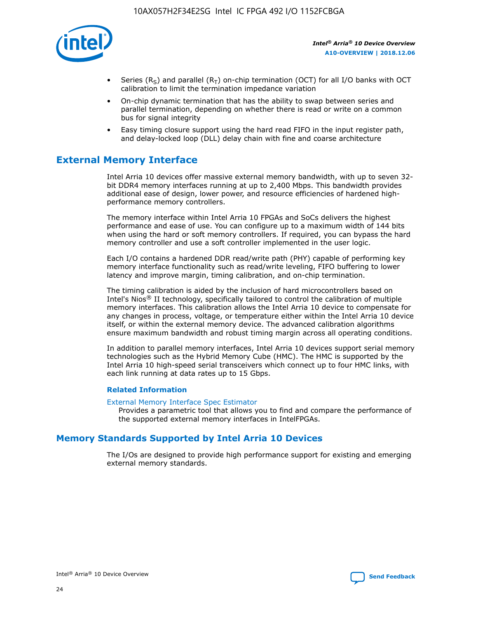

- Series (R<sub>S</sub>) and parallel (R<sub>T</sub>) on-chip termination (OCT) for all I/O banks with OCT calibration to limit the termination impedance variation
- On-chip dynamic termination that has the ability to swap between series and parallel termination, depending on whether there is read or write on a common bus for signal integrity
- Easy timing closure support using the hard read FIFO in the input register path, and delay-locked loop (DLL) delay chain with fine and coarse architecture

# **External Memory Interface**

Intel Arria 10 devices offer massive external memory bandwidth, with up to seven 32 bit DDR4 memory interfaces running at up to 2,400 Mbps. This bandwidth provides additional ease of design, lower power, and resource efficiencies of hardened highperformance memory controllers.

The memory interface within Intel Arria 10 FPGAs and SoCs delivers the highest performance and ease of use. You can configure up to a maximum width of 144 bits when using the hard or soft memory controllers. If required, you can bypass the hard memory controller and use a soft controller implemented in the user logic.

Each I/O contains a hardened DDR read/write path (PHY) capable of performing key memory interface functionality such as read/write leveling, FIFO buffering to lower latency and improve margin, timing calibration, and on-chip termination.

The timing calibration is aided by the inclusion of hard microcontrollers based on Intel's Nios® II technology, specifically tailored to control the calibration of multiple memory interfaces. This calibration allows the Intel Arria 10 device to compensate for any changes in process, voltage, or temperature either within the Intel Arria 10 device itself, or within the external memory device. The advanced calibration algorithms ensure maximum bandwidth and robust timing margin across all operating conditions.

In addition to parallel memory interfaces, Intel Arria 10 devices support serial memory technologies such as the Hybrid Memory Cube (HMC). The HMC is supported by the Intel Arria 10 high-speed serial transceivers which connect up to four HMC links, with each link running at data rates up to 15 Gbps.

#### **Related Information**

#### [External Memory Interface Spec Estimator](http://www.altera.com/technology/memory/estimator/mem-emif-index.html)

Provides a parametric tool that allows you to find and compare the performance of the supported external memory interfaces in IntelFPGAs.

## **Memory Standards Supported by Intel Arria 10 Devices**

The I/Os are designed to provide high performance support for existing and emerging external memory standards.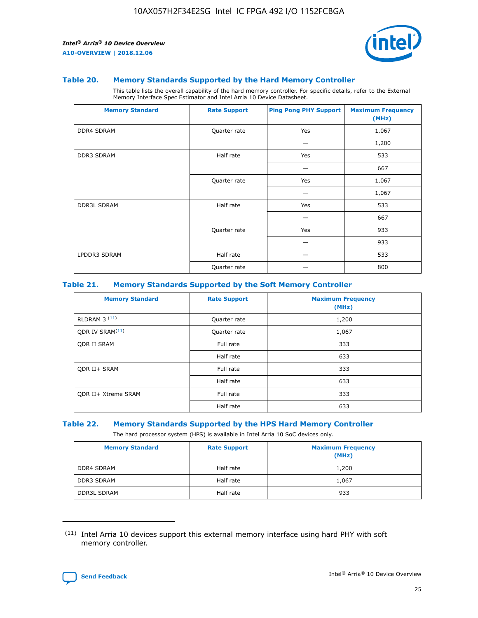

#### **Table 20. Memory Standards Supported by the Hard Memory Controller**

This table lists the overall capability of the hard memory controller. For specific details, refer to the External Memory Interface Spec Estimator and Intel Arria 10 Device Datasheet.

| <b>Memory Standard</b> | <b>Rate Support</b> | <b>Ping Pong PHY Support</b> | <b>Maximum Frequency</b><br>(MHz) |
|------------------------|---------------------|------------------------------|-----------------------------------|
| <b>DDR4 SDRAM</b>      | Quarter rate        | Yes                          | 1,067                             |
|                        |                     |                              | 1,200                             |
| DDR3 SDRAM             | Half rate           | Yes                          | 533                               |
|                        |                     |                              | 667                               |
|                        | Quarter rate        | Yes                          | 1,067                             |
|                        |                     |                              | 1,067                             |
| <b>DDR3L SDRAM</b>     | Half rate           | Yes                          | 533                               |
|                        |                     |                              | 667                               |
|                        | Quarter rate        | Yes                          | 933                               |
|                        |                     |                              | 933                               |
| LPDDR3 SDRAM           | Half rate           |                              | 533                               |
|                        | Quarter rate        |                              | 800                               |

#### **Table 21. Memory Standards Supported by the Soft Memory Controller**

| <b>Memory Standard</b>      | <b>Rate Support</b> | <b>Maximum Frequency</b><br>(MHz) |
|-----------------------------|---------------------|-----------------------------------|
| <b>RLDRAM 3 (11)</b>        | Quarter rate        | 1,200                             |
| ODR IV SRAM <sup>(11)</sup> | Quarter rate        | 1,067                             |
| <b>ODR II SRAM</b>          | Full rate           | 333                               |
|                             | Half rate           | 633                               |
| <b>ODR II+ SRAM</b>         | Full rate           | 333                               |
|                             | Half rate           | 633                               |
| <b>ODR II+ Xtreme SRAM</b>  | Full rate           | 333                               |
|                             | Half rate           | 633                               |

#### **Table 22. Memory Standards Supported by the HPS Hard Memory Controller**

The hard processor system (HPS) is available in Intel Arria 10 SoC devices only.

| <b>Memory Standard</b> | <b>Rate Support</b> | <b>Maximum Frequency</b><br>(MHz) |
|------------------------|---------------------|-----------------------------------|
| <b>DDR4 SDRAM</b>      | Half rate           | 1,200                             |
| DDR3 SDRAM             | Half rate           | 1,067                             |
| <b>DDR3L SDRAM</b>     | Half rate           | 933                               |

<sup>(11)</sup> Intel Arria 10 devices support this external memory interface using hard PHY with soft memory controller.

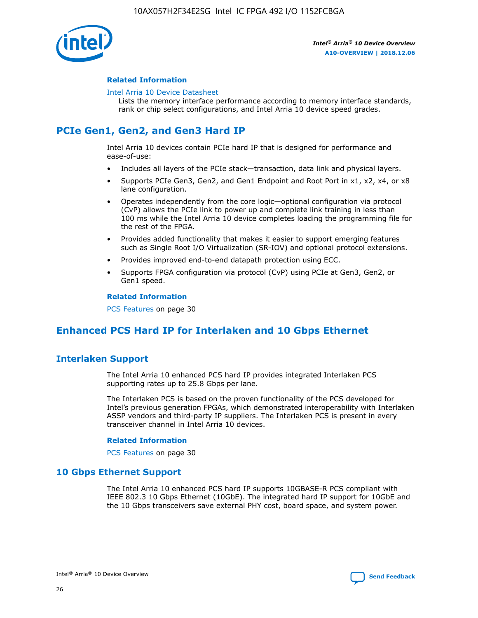

#### **Related Information**

#### [Intel Arria 10 Device Datasheet](https://www.intel.com/content/www/us/en/programmable/documentation/mcn1413182292568.html#mcn1413182153340)

Lists the memory interface performance according to memory interface standards, rank or chip select configurations, and Intel Arria 10 device speed grades.

# **PCIe Gen1, Gen2, and Gen3 Hard IP**

Intel Arria 10 devices contain PCIe hard IP that is designed for performance and ease-of-use:

- Includes all layers of the PCIe stack—transaction, data link and physical layers.
- Supports PCIe Gen3, Gen2, and Gen1 Endpoint and Root Port in x1, x2, x4, or x8 lane configuration.
- Operates independently from the core logic—optional configuration via protocol (CvP) allows the PCIe link to power up and complete link training in less than 100 ms while the Intel Arria 10 device completes loading the programming file for the rest of the FPGA.
- Provides added functionality that makes it easier to support emerging features such as Single Root I/O Virtualization (SR-IOV) and optional protocol extensions.
- Provides improved end-to-end datapath protection using ECC.
- Supports FPGA configuration via protocol (CvP) using PCIe at Gen3, Gen2, or Gen1 speed.

#### **Related Information**

PCS Features on page 30

# **Enhanced PCS Hard IP for Interlaken and 10 Gbps Ethernet**

## **Interlaken Support**

The Intel Arria 10 enhanced PCS hard IP provides integrated Interlaken PCS supporting rates up to 25.8 Gbps per lane.

The Interlaken PCS is based on the proven functionality of the PCS developed for Intel's previous generation FPGAs, which demonstrated interoperability with Interlaken ASSP vendors and third-party IP suppliers. The Interlaken PCS is present in every transceiver channel in Intel Arria 10 devices.

#### **Related Information**

PCS Features on page 30

## **10 Gbps Ethernet Support**

The Intel Arria 10 enhanced PCS hard IP supports 10GBASE-R PCS compliant with IEEE 802.3 10 Gbps Ethernet (10GbE). The integrated hard IP support for 10GbE and the 10 Gbps transceivers save external PHY cost, board space, and system power.

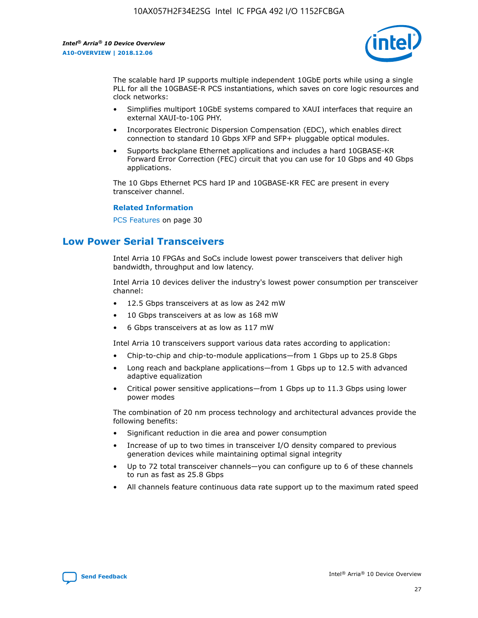

The scalable hard IP supports multiple independent 10GbE ports while using a single PLL for all the 10GBASE-R PCS instantiations, which saves on core logic resources and clock networks:

- Simplifies multiport 10GbE systems compared to XAUI interfaces that require an external XAUI-to-10G PHY.
- Incorporates Electronic Dispersion Compensation (EDC), which enables direct connection to standard 10 Gbps XFP and SFP+ pluggable optical modules.
- Supports backplane Ethernet applications and includes a hard 10GBASE-KR Forward Error Correction (FEC) circuit that you can use for 10 Gbps and 40 Gbps applications.

The 10 Gbps Ethernet PCS hard IP and 10GBASE-KR FEC are present in every transceiver channel.

#### **Related Information**

PCS Features on page 30

# **Low Power Serial Transceivers**

Intel Arria 10 FPGAs and SoCs include lowest power transceivers that deliver high bandwidth, throughput and low latency.

Intel Arria 10 devices deliver the industry's lowest power consumption per transceiver channel:

- 12.5 Gbps transceivers at as low as 242 mW
- 10 Gbps transceivers at as low as 168 mW
- 6 Gbps transceivers at as low as 117 mW

Intel Arria 10 transceivers support various data rates according to application:

- Chip-to-chip and chip-to-module applications—from 1 Gbps up to 25.8 Gbps
- Long reach and backplane applications—from 1 Gbps up to 12.5 with advanced adaptive equalization
- Critical power sensitive applications—from 1 Gbps up to 11.3 Gbps using lower power modes

The combination of 20 nm process technology and architectural advances provide the following benefits:

- Significant reduction in die area and power consumption
- Increase of up to two times in transceiver I/O density compared to previous generation devices while maintaining optimal signal integrity
- Up to 72 total transceiver channels—you can configure up to 6 of these channels to run as fast as 25.8 Gbps
- All channels feature continuous data rate support up to the maximum rated speed

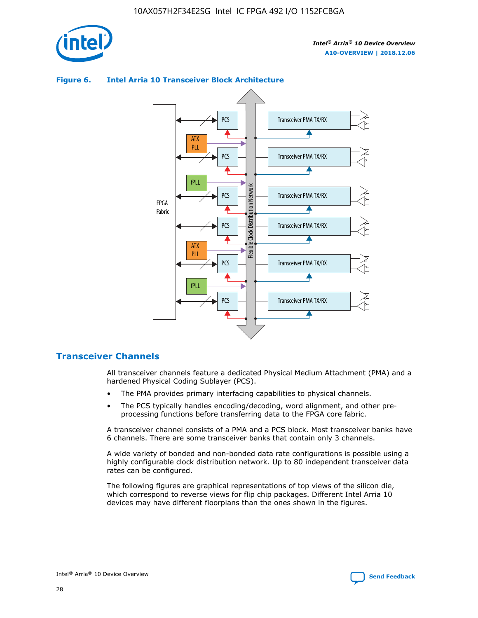



## **Figure 6. Intel Arria 10 Transceiver Block Architecture**

## **Transceiver Channels**

All transceiver channels feature a dedicated Physical Medium Attachment (PMA) and a hardened Physical Coding Sublayer (PCS).

- The PMA provides primary interfacing capabilities to physical channels.
- The PCS typically handles encoding/decoding, word alignment, and other preprocessing functions before transferring data to the FPGA core fabric.

A transceiver channel consists of a PMA and a PCS block. Most transceiver banks have 6 channels. There are some transceiver banks that contain only 3 channels.

A wide variety of bonded and non-bonded data rate configurations is possible using a highly configurable clock distribution network. Up to 80 independent transceiver data rates can be configured.

The following figures are graphical representations of top views of the silicon die, which correspond to reverse views for flip chip packages. Different Intel Arria 10 devices may have different floorplans than the ones shown in the figures.

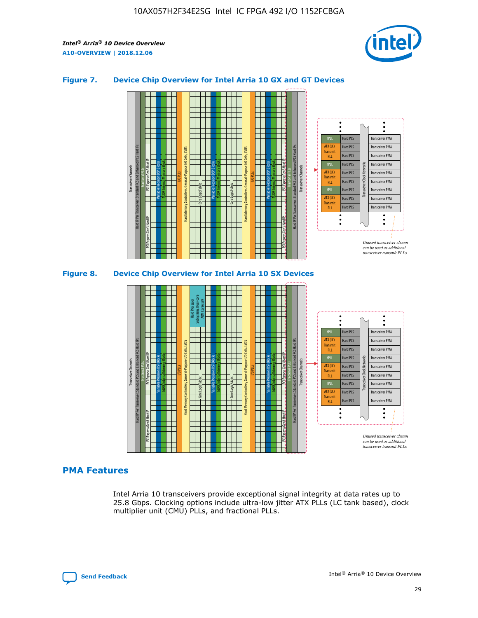

## **Figure 7. Device Chip Overview for Intel Arria 10 GX and GT Devices**



M20K Internal Memory Blocks Core Logic Fabric Transceiver Channels Hard IP Per Transceiver: Standard PCS and Enhanced PCS Hard IPs PCI Express Gen3 Hard IP Fractional PLLs M20K Internal Memory Blocks PCI Express Gen3 Hard IP Variable Precision DSP Blocks I/O PLLs Hard Memory Controllers, General-Purpose I/O Cells, LVDS Hard Processor Subsystem, Dual-Core ARM Cortex A9 M20K Internal Memory Blocks Variable Precision DSP Blocks M20K Internal Memory Blocks Core Logic Fabric I/O PLLs Hard Memory Controllers, General-Purpose I/O Cells, LVDS M20K Internal Memory Blocks Variable Precision DSP Blocks M20K Internal Memory Blocks Transceiver Channels Hard IP Per Transceiver: Standard PCS and Enhanced PCS Hard IPs PCI Express Gen3 Hard IP Fractional PLLs PCI Express Gen3 Hard IP Hard PCS Hard PCS Hard PCS Hard PCS Hard PCS Hard PCS Hard PCS Hard PCS Transceiver PMA Transceiver PMA Transceiver PMA Transceiver PMA Transceiver PMA Transceiver PMA Unused transceiver chann can be used as additional transceiver transmit PLLs Transceiver PMA Transceiver PMA Transceiver Clock Networks ATX (LC) **Transmit** PLL fPLL ATX (LC) Transmi PLL fPLL ATX (LC) **Transmit** PLL

## **PMA Features**

Intel Arria 10 transceivers provide exceptional signal integrity at data rates up to 25.8 Gbps. Clocking options include ultra-low jitter ATX PLLs (LC tank based), clock multiplier unit (CMU) PLLs, and fractional PLLs.

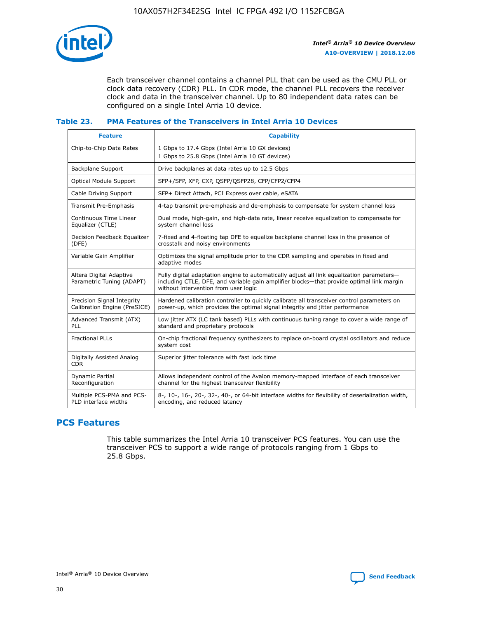

Each transceiver channel contains a channel PLL that can be used as the CMU PLL or clock data recovery (CDR) PLL. In CDR mode, the channel PLL recovers the receiver clock and data in the transceiver channel. Up to 80 independent data rates can be configured on a single Intel Arria 10 device.

## **Table 23. PMA Features of the Transceivers in Intel Arria 10 Devices**

| <b>Feature</b>                                             | <b>Capability</b>                                                                                                                                                                                                             |
|------------------------------------------------------------|-------------------------------------------------------------------------------------------------------------------------------------------------------------------------------------------------------------------------------|
| Chip-to-Chip Data Rates                                    | 1 Gbps to 17.4 Gbps (Intel Arria 10 GX devices)<br>1 Gbps to 25.8 Gbps (Intel Arria 10 GT devices)                                                                                                                            |
| Backplane Support                                          | Drive backplanes at data rates up to 12.5 Gbps                                                                                                                                                                                |
| Optical Module Support                                     | SFP+/SFP, XFP, CXP, QSFP/QSFP28, CFP/CFP2/CFP4                                                                                                                                                                                |
| Cable Driving Support                                      | SFP+ Direct Attach, PCI Express over cable, eSATA                                                                                                                                                                             |
| Transmit Pre-Emphasis                                      | 4-tap transmit pre-emphasis and de-emphasis to compensate for system channel loss                                                                                                                                             |
| Continuous Time Linear<br>Equalizer (CTLE)                 | Dual mode, high-gain, and high-data rate, linear receive equalization to compensate for<br>system channel loss                                                                                                                |
| Decision Feedback Equalizer<br>(DFE)                       | 7-fixed and 4-floating tap DFE to equalize backplane channel loss in the presence of<br>crosstalk and noisy environments                                                                                                      |
| Variable Gain Amplifier                                    | Optimizes the signal amplitude prior to the CDR sampling and operates in fixed and<br>adaptive modes                                                                                                                          |
| Altera Digital Adaptive<br>Parametric Tuning (ADAPT)       | Fully digital adaptation engine to automatically adjust all link equalization parameters-<br>including CTLE, DFE, and variable gain amplifier blocks—that provide optimal link margin<br>without intervention from user logic |
| Precision Signal Integrity<br>Calibration Engine (PreSICE) | Hardened calibration controller to quickly calibrate all transceiver control parameters on<br>power-up, which provides the optimal signal integrity and jitter performance                                                    |
| Advanced Transmit (ATX)<br><b>PLL</b>                      | Low jitter ATX (LC tank based) PLLs with continuous tuning range to cover a wide range of<br>standard and proprietary protocols                                                                                               |
| <b>Fractional PLLs</b>                                     | On-chip fractional frequency synthesizers to replace on-board crystal oscillators and reduce<br>system cost                                                                                                                   |
| Digitally Assisted Analog<br><b>CDR</b>                    | Superior jitter tolerance with fast lock time                                                                                                                                                                                 |
| Dynamic Partial<br>Reconfiguration                         | Allows independent control of the Avalon memory-mapped interface of each transceiver<br>channel for the highest transceiver flexibility                                                                                       |
| Multiple PCS-PMA and PCS-<br>PLD interface widths          | 8-, 10-, 16-, 20-, 32-, 40-, or 64-bit interface widths for flexibility of deserialization width,<br>encoding, and reduced latency                                                                                            |

## **PCS Features**

This table summarizes the Intel Arria 10 transceiver PCS features. You can use the transceiver PCS to support a wide range of protocols ranging from 1 Gbps to 25.8 Gbps.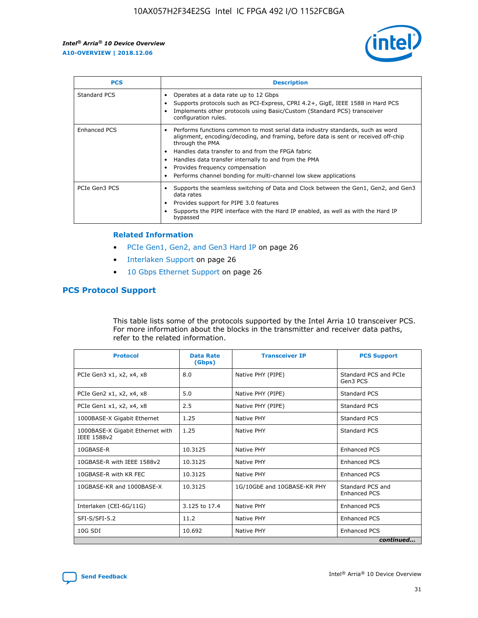

| <b>PCS</b>    | <b>Description</b>                                                                                                                                                                                                                                                                                                                                                                                             |
|---------------|----------------------------------------------------------------------------------------------------------------------------------------------------------------------------------------------------------------------------------------------------------------------------------------------------------------------------------------------------------------------------------------------------------------|
| Standard PCS  | Operates at a data rate up to 12 Gbps<br>Supports protocols such as PCI-Express, CPRI 4.2+, GigE, IEEE 1588 in Hard PCS<br>Implements other protocols using Basic/Custom (Standard PCS) transceiver<br>configuration rules.                                                                                                                                                                                    |
| Enhanced PCS  | Performs functions common to most serial data industry standards, such as word<br>alignment, encoding/decoding, and framing, before data is sent or received off-chip<br>through the PMA<br>• Handles data transfer to and from the FPGA fabric<br>Handles data transfer internally to and from the PMA<br>Provides frequency compensation<br>Performs channel bonding for multi-channel low skew applications |
| PCIe Gen3 PCS | Supports the seamless switching of Data and Clock between the Gen1, Gen2, and Gen3<br>data rates<br>Provides support for PIPE 3.0 features<br>Supports the PIPE interface with the Hard IP enabled, as well as with the Hard IP<br>bypassed                                                                                                                                                                    |

#### **Related Information**

- PCIe Gen1, Gen2, and Gen3 Hard IP on page 26
- Interlaken Support on page 26
- 10 Gbps Ethernet Support on page 26

## **PCS Protocol Support**

This table lists some of the protocols supported by the Intel Arria 10 transceiver PCS. For more information about the blocks in the transmitter and receiver data paths, refer to the related information.

| <b>Protocol</b>                                 | <b>Data Rate</b><br>(Gbps) | <b>Transceiver IP</b>       | <b>PCS Support</b>                      |
|-------------------------------------------------|----------------------------|-----------------------------|-----------------------------------------|
| PCIe Gen3 x1, x2, x4, x8                        | 8.0                        | Native PHY (PIPE)           | Standard PCS and PCIe<br>Gen3 PCS       |
| PCIe Gen2 x1, x2, x4, x8                        | 5.0                        | Native PHY (PIPE)           | <b>Standard PCS</b>                     |
| PCIe Gen1 x1, x2, x4, x8                        | 2.5                        | Native PHY (PIPE)           | Standard PCS                            |
| 1000BASE-X Gigabit Ethernet                     | 1.25                       | Native PHY                  | <b>Standard PCS</b>                     |
| 1000BASE-X Gigabit Ethernet with<br>IEEE 1588v2 | 1.25                       | Native PHY                  | Standard PCS                            |
| 10GBASE-R                                       | 10.3125                    | Native PHY                  | <b>Enhanced PCS</b>                     |
| 10GBASE-R with IEEE 1588v2                      | 10.3125                    | Native PHY                  | <b>Enhanced PCS</b>                     |
| 10GBASE-R with KR FEC                           | 10.3125                    | Native PHY                  | <b>Enhanced PCS</b>                     |
| 10GBASE-KR and 1000BASE-X                       | 10.3125                    | 1G/10GbE and 10GBASE-KR PHY | Standard PCS and<br><b>Enhanced PCS</b> |
| Interlaken (CEI-6G/11G)                         | 3.125 to 17.4              | Native PHY                  | <b>Enhanced PCS</b>                     |
| SFI-S/SFI-5.2                                   | 11.2                       | Native PHY                  | <b>Enhanced PCS</b>                     |
| $10G$ SDI                                       | 10.692                     | Native PHY                  | <b>Enhanced PCS</b>                     |
|                                                 |                            |                             | continued                               |

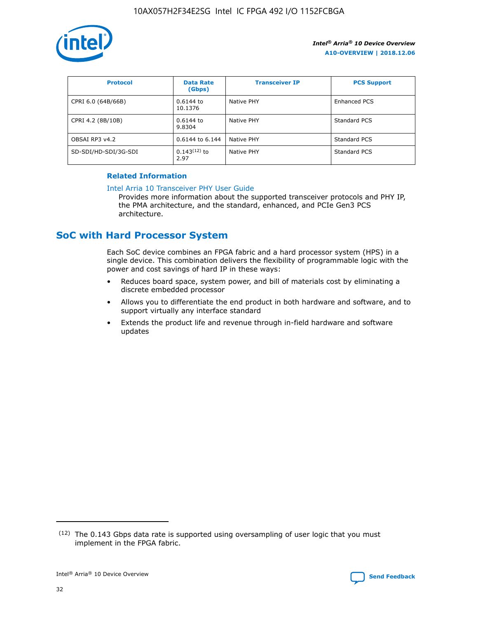

| <b>Protocol</b>      | <b>Data Rate</b><br>(Gbps) | <b>Transceiver IP</b> | <b>PCS Support</b> |
|----------------------|----------------------------|-----------------------|--------------------|
| CPRI 6.0 (64B/66B)   | 0.6144 to<br>10.1376       | Native PHY            | Enhanced PCS       |
| CPRI 4.2 (8B/10B)    | $0.6144$ to<br>9.8304      | Native PHY            | Standard PCS       |
| OBSAI RP3 v4.2       | 0.6144 to 6.144            | Native PHY            | Standard PCS       |
| SD-SDI/HD-SDI/3G-SDI | $0.143(12)$ to<br>2.97     | Native PHY            | Standard PCS       |

## **Related Information**

#### [Intel Arria 10 Transceiver PHY User Guide](https://www.intel.com/content/www/us/en/programmable/documentation/nik1398707230472.html#nik1398707091164)

Provides more information about the supported transceiver protocols and PHY IP, the PMA architecture, and the standard, enhanced, and PCIe Gen3 PCS architecture.

# **SoC with Hard Processor System**

Each SoC device combines an FPGA fabric and a hard processor system (HPS) in a single device. This combination delivers the flexibility of programmable logic with the power and cost savings of hard IP in these ways:

- Reduces board space, system power, and bill of materials cost by eliminating a discrete embedded processor
- Allows you to differentiate the end product in both hardware and software, and to support virtually any interface standard
- Extends the product life and revenue through in-field hardware and software updates

 $(12)$  The 0.143 Gbps data rate is supported using oversampling of user logic that you must implement in the FPGA fabric.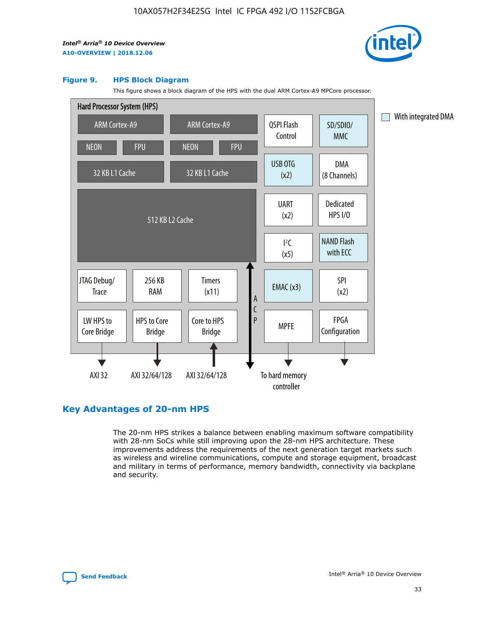

#### **Figure 9. HPS Block Diagram**

This figure shows a block diagram of the HPS with the dual ARM Cortex-A9 MPCore processor.



## **Key Advantages of 20-nm HPS**

The 20-nm HPS strikes a balance between enabling maximum software compatibility with 28-nm SoCs while still improving upon the 28-nm HPS architecture. These improvements address the requirements of the next generation target markets such as wireless and wireline communications, compute and storage equipment, broadcast and military in terms of performance, memory bandwidth, connectivity via backplane and security.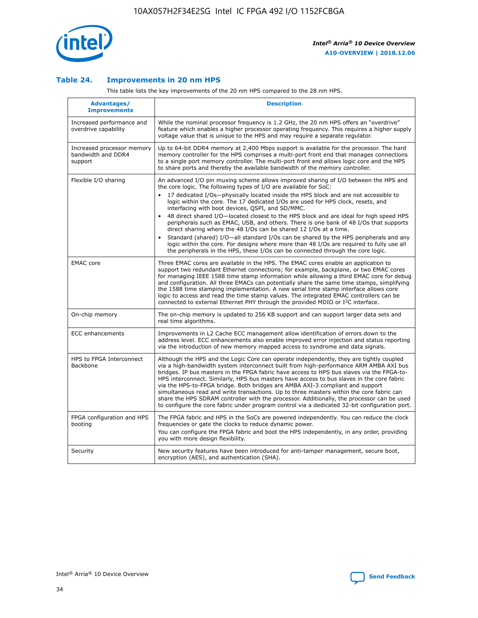

## **Table 24. Improvements in 20 nm HPS**

This table lists the key improvements of the 20 nm HPS compared to the 28 nm HPS.

| Advantages/<br><b>Improvements</b>                          | <b>Description</b>                                                                                                                                                                                                                                                                                                                                                                                                                                                                                                                                                                                                                                                                                                                                                                                                                                                                                                      |
|-------------------------------------------------------------|-------------------------------------------------------------------------------------------------------------------------------------------------------------------------------------------------------------------------------------------------------------------------------------------------------------------------------------------------------------------------------------------------------------------------------------------------------------------------------------------------------------------------------------------------------------------------------------------------------------------------------------------------------------------------------------------------------------------------------------------------------------------------------------------------------------------------------------------------------------------------------------------------------------------------|
| Increased performance and<br>overdrive capability           | While the nominal processor frequency is 1.2 GHz, the 20 nm HPS offers an "overdrive"<br>feature which enables a higher processor operating frequency. This requires a higher supply<br>voltage value that is unique to the HPS and may require a separate regulator.                                                                                                                                                                                                                                                                                                                                                                                                                                                                                                                                                                                                                                                   |
| Increased processor memory<br>bandwidth and DDR4<br>support | Up to 64-bit DDR4 memory at 2,400 Mbps support is available for the processor. The hard<br>memory controller for the HPS comprises a multi-port front end that manages connections<br>to a single port memory controller. The multi-port front end allows logic core and the HPS<br>to share ports and thereby the available bandwidth of the memory controller.                                                                                                                                                                                                                                                                                                                                                                                                                                                                                                                                                        |
| Flexible I/O sharing                                        | An advanced I/O pin muxing scheme allows improved sharing of I/O between the HPS and<br>the core logic. The following types of I/O are available for SoC:<br>17 dedicated I/Os-physically located inside the HPS block and are not accessible to<br>logic within the core. The 17 dedicated I/Os are used for HPS clock, resets, and<br>interfacing with boot devices, QSPI, and SD/MMC.<br>48 direct shared I/O-located closest to the HPS block and are ideal for high speed HPS<br>peripherals such as EMAC, USB, and others. There is one bank of 48 I/Os that supports<br>direct sharing where the 48 I/Os can be shared 12 I/Os at a time.<br>Standard (shared) I/O—all standard I/Os can be shared by the HPS peripherals and any<br>logic within the core. For designs where more than 48 I/Os are required to fully use all<br>the peripherals in the HPS, these I/Os can be connected through the core logic. |
| <b>EMAC</b> core                                            | Three EMAC cores are available in the HPS. The EMAC cores enable an application to<br>support two redundant Ethernet connections; for example, backplane, or two EMAC cores<br>for managing IEEE 1588 time stamp information while allowing a third EMAC core for debug<br>and configuration. All three EMACs can potentially share the same time stamps, simplifying<br>the 1588 time stamping implementation. A new serial time stamp interface allows core<br>logic to access and read the time stamp values. The integrated EMAC controllers can be<br>connected to external Ethernet PHY through the provided MDIO or I <sup>2</sup> C interface.                                                                                                                                                                                                                                                                  |
| On-chip memory                                              | The on-chip memory is updated to 256 KB support and can support larger data sets and<br>real time algorithms.                                                                                                                                                                                                                                                                                                                                                                                                                                                                                                                                                                                                                                                                                                                                                                                                           |
| <b>ECC</b> enhancements                                     | Improvements in L2 Cache ECC management allow identification of errors down to the<br>address level. ECC enhancements also enable improved error injection and status reporting<br>via the introduction of new memory mapped access to syndrome and data signals.                                                                                                                                                                                                                                                                                                                                                                                                                                                                                                                                                                                                                                                       |
| HPS to FPGA Interconnect<br><b>Backbone</b>                 | Although the HPS and the Logic Core can operate independently, they are tightly coupled<br>via a high-bandwidth system interconnect built from high-performance ARM AMBA AXI bus<br>bridges. IP bus masters in the FPGA fabric have access to HPS bus slaves via the FPGA-to-<br>HPS interconnect. Similarly, HPS bus masters have access to bus slaves in the core fabric<br>via the HPS-to-FPGA bridge. Both bridges are AMBA AXI-3 compliant and support<br>simultaneous read and write transactions. Up to three masters within the core fabric can<br>share the HPS SDRAM controller with the processor. Additionally, the processor can be used<br>to configure the core fabric under program control via a dedicated 32-bit configuration port.                                                                                                                                                                  |
| FPGA configuration and HPS<br>booting                       | The FPGA fabric and HPS in the SoCs are powered independently. You can reduce the clock<br>frequencies or gate the clocks to reduce dynamic power.<br>You can configure the FPGA fabric and boot the HPS independently, in any order, providing<br>you with more design flexibility.                                                                                                                                                                                                                                                                                                                                                                                                                                                                                                                                                                                                                                    |
| Security                                                    | New security features have been introduced for anti-tamper management, secure boot,<br>encryption (AES), and authentication (SHA).                                                                                                                                                                                                                                                                                                                                                                                                                                                                                                                                                                                                                                                                                                                                                                                      |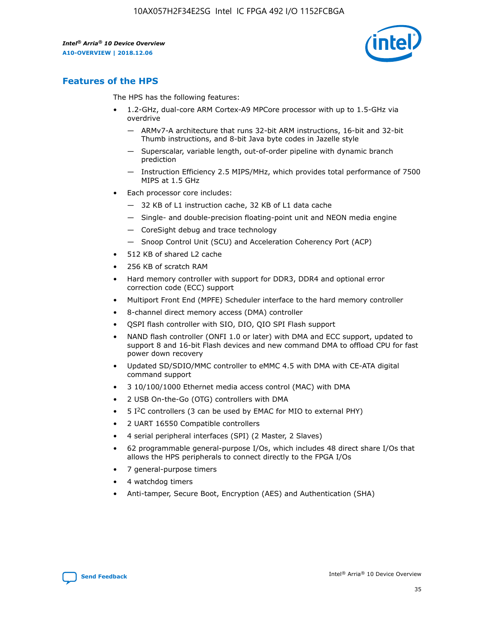

## **Features of the HPS**

The HPS has the following features:

- 1.2-GHz, dual-core ARM Cortex-A9 MPCore processor with up to 1.5-GHz via overdrive
	- ARMv7-A architecture that runs 32-bit ARM instructions, 16-bit and 32-bit Thumb instructions, and 8-bit Java byte codes in Jazelle style
	- Superscalar, variable length, out-of-order pipeline with dynamic branch prediction
	- Instruction Efficiency 2.5 MIPS/MHz, which provides total performance of 7500 MIPS at 1.5 GHz
- Each processor core includes:
	- 32 KB of L1 instruction cache, 32 KB of L1 data cache
	- Single- and double-precision floating-point unit and NEON media engine
	- CoreSight debug and trace technology
	- Snoop Control Unit (SCU) and Acceleration Coherency Port (ACP)
- 512 KB of shared L2 cache
- 256 KB of scratch RAM
- Hard memory controller with support for DDR3, DDR4 and optional error correction code (ECC) support
- Multiport Front End (MPFE) Scheduler interface to the hard memory controller
- 8-channel direct memory access (DMA) controller
- QSPI flash controller with SIO, DIO, QIO SPI Flash support
- NAND flash controller (ONFI 1.0 or later) with DMA and ECC support, updated to support 8 and 16-bit Flash devices and new command DMA to offload CPU for fast power down recovery
- Updated SD/SDIO/MMC controller to eMMC 4.5 with DMA with CE-ATA digital command support
- 3 10/100/1000 Ethernet media access control (MAC) with DMA
- 2 USB On-the-Go (OTG) controllers with DMA
- $\bullet$  5 I<sup>2</sup>C controllers (3 can be used by EMAC for MIO to external PHY)
- 2 UART 16550 Compatible controllers
- 4 serial peripheral interfaces (SPI) (2 Master, 2 Slaves)
- 62 programmable general-purpose I/Os, which includes 48 direct share I/Os that allows the HPS peripherals to connect directly to the FPGA I/Os
- 7 general-purpose timers
- 4 watchdog timers
- Anti-tamper, Secure Boot, Encryption (AES) and Authentication (SHA)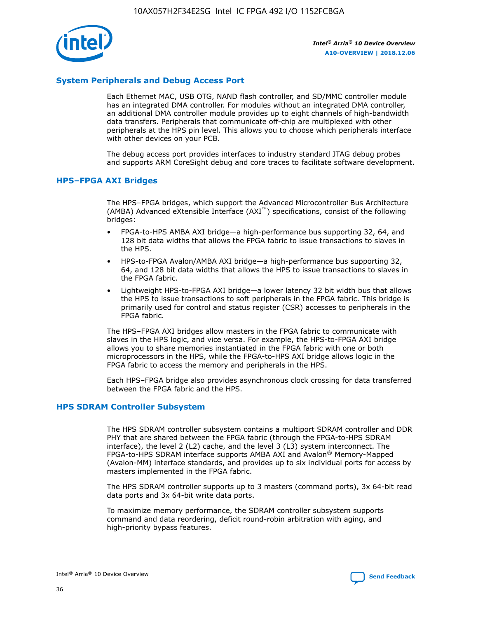

## **System Peripherals and Debug Access Port**

Each Ethernet MAC, USB OTG, NAND flash controller, and SD/MMC controller module has an integrated DMA controller. For modules without an integrated DMA controller, an additional DMA controller module provides up to eight channels of high-bandwidth data transfers. Peripherals that communicate off-chip are multiplexed with other peripherals at the HPS pin level. This allows you to choose which peripherals interface with other devices on your PCB.

The debug access port provides interfaces to industry standard JTAG debug probes and supports ARM CoreSight debug and core traces to facilitate software development.

## **HPS–FPGA AXI Bridges**

The HPS–FPGA bridges, which support the Advanced Microcontroller Bus Architecture (AMBA) Advanced eXtensible Interface (AXI™) specifications, consist of the following bridges:

- FPGA-to-HPS AMBA AXI bridge—a high-performance bus supporting 32, 64, and 128 bit data widths that allows the FPGA fabric to issue transactions to slaves in the HPS.
- HPS-to-FPGA Avalon/AMBA AXI bridge—a high-performance bus supporting 32, 64, and 128 bit data widths that allows the HPS to issue transactions to slaves in the FPGA fabric.
- Lightweight HPS-to-FPGA AXI bridge—a lower latency 32 bit width bus that allows the HPS to issue transactions to soft peripherals in the FPGA fabric. This bridge is primarily used for control and status register (CSR) accesses to peripherals in the FPGA fabric.

The HPS–FPGA AXI bridges allow masters in the FPGA fabric to communicate with slaves in the HPS logic, and vice versa. For example, the HPS-to-FPGA AXI bridge allows you to share memories instantiated in the FPGA fabric with one or both microprocessors in the HPS, while the FPGA-to-HPS AXI bridge allows logic in the FPGA fabric to access the memory and peripherals in the HPS.

Each HPS–FPGA bridge also provides asynchronous clock crossing for data transferred between the FPGA fabric and the HPS.

#### **HPS SDRAM Controller Subsystem**

The HPS SDRAM controller subsystem contains a multiport SDRAM controller and DDR PHY that are shared between the FPGA fabric (through the FPGA-to-HPS SDRAM interface), the level 2 (L2) cache, and the level 3 (L3) system interconnect. The FPGA-to-HPS SDRAM interface supports AMBA AXI and Avalon® Memory-Mapped (Avalon-MM) interface standards, and provides up to six individual ports for access by masters implemented in the FPGA fabric.

The HPS SDRAM controller supports up to 3 masters (command ports), 3x 64-bit read data ports and 3x 64-bit write data ports.

To maximize memory performance, the SDRAM controller subsystem supports command and data reordering, deficit round-robin arbitration with aging, and high-priority bypass features.

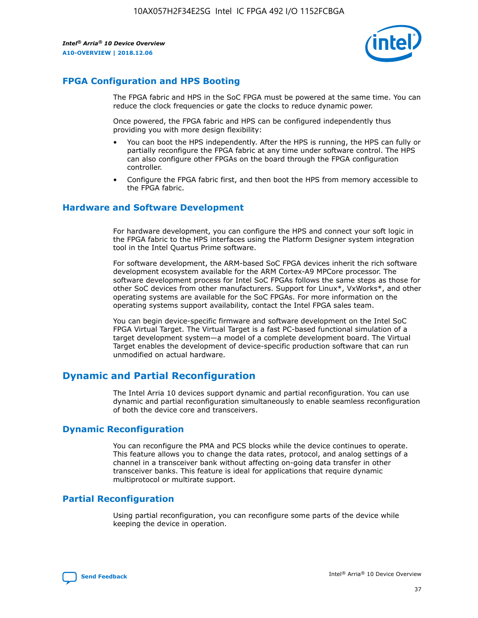

## **FPGA Configuration and HPS Booting**

The FPGA fabric and HPS in the SoC FPGA must be powered at the same time. You can reduce the clock frequencies or gate the clocks to reduce dynamic power.

Once powered, the FPGA fabric and HPS can be configured independently thus providing you with more design flexibility:

- You can boot the HPS independently. After the HPS is running, the HPS can fully or partially reconfigure the FPGA fabric at any time under software control. The HPS can also configure other FPGAs on the board through the FPGA configuration controller.
- Configure the FPGA fabric first, and then boot the HPS from memory accessible to the FPGA fabric.

## **Hardware and Software Development**

For hardware development, you can configure the HPS and connect your soft logic in the FPGA fabric to the HPS interfaces using the Platform Designer system integration tool in the Intel Quartus Prime software.

For software development, the ARM-based SoC FPGA devices inherit the rich software development ecosystem available for the ARM Cortex-A9 MPCore processor. The software development process for Intel SoC FPGAs follows the same steps as those for other SoC devices from other manufacturers. Support for Linux\*, VxWorks\*, and other operating systems are available for the SoC FPGAs. For more information on the operating systems support availability, contact the Intel FPGA sales team.

You can begin device-specific firmware and software development on the Intel SoC FPGA Virtual Target. The Virtual Target is a fast PC-based functional simulation of a target development system—a model of a complete development board. The Virtual Target enables the development of device-specific production software that can run unmodified on actual hardware.

## **Dynamic and Partial Reconfiguration**

The Intel Arria 10 devices support dynamic and partial reconfiguration. You can use dynamic and partial reconfiguration simultaneously to enable seamless reconfiguration of both the device core and transceivers.

## **Dynamic Reconfiguration**

You can reconfigure the PMA and PCS blocks while the device continues to operate. This feature allows you to change the data rates, protocol, and analog settings of a channel in a transceiver bank without affecting on-going data transfer in other transceiver banks. This feature is ideal for applications that require dynamic multiprotocol or multirate support.

## **Partial Reconfiguration**

Using partial reconfiguration, you can reconfigure some parts of the device while keeping the device in operation.

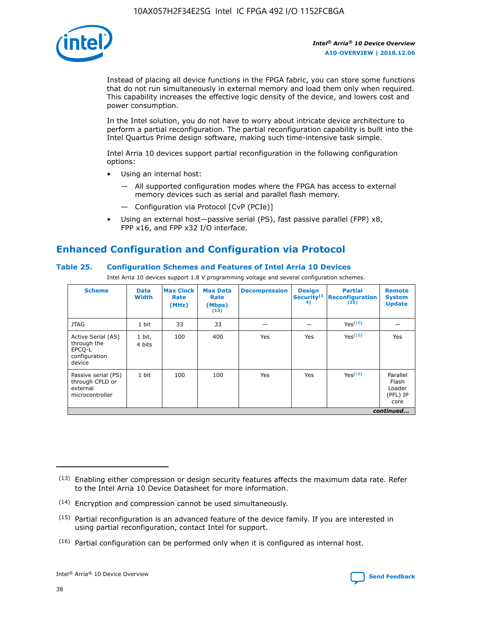

Instead of placing all device functions in the FPGA fabric, you can store some functions that do not run simultaneously in external memory and load them only when required. This capability increases the effective logic density of the device, and lowers cost and power consumption.

In the Intel solution, you do not have to worry about intricate device architecture to perform a partial reconfiguration. The partial reconfiguration capability is built into the Intel Quartus Prime design software, making such time-intensive task simple.

Intel Arria 10 devices support partial reconfiguration in the following configuration options:

- Using an internal host:
	- All supported configuration modes where the FPGA has access to external memory devices such as serial and parallel flash memory.
	- Configuration via Protocol [CvP (PCIe)]
- Using an external host—passive serial (PS), fast passive parallel (FPP) x8, FPP x16, and FPP x32 I/O interface.

# **Enhanced Configuration and Configuration via Protocol**

## **Table 25. Configuration Schemes and Features of Intel Arria 10 Devices**

Intel Arria 10 devices support 1.8 V programming voltage and several configuration schemes.

| <b>Scheme</b>                                                          | <b>Data</b><br><b>Width</b> | <b>Max Clock</b><br>Rate<br>(MHz) | <b>Max Data</b><br>Rate<br>(Mbps)<br>(13) | <b>Decompression</b> | <b>Design</b><br>Security <sup>(1</sup><br>4) | <b>Partial</b><br><b>Reconfiguration</b><br>(15) | <b>Remote</b><br><b>System</b><br><b>Update</b> |
|------------------------------------------------------------------------|-----------------------------|-----------------------------------|-------------------------------------------|----------------------|-----------------------------------------------|--------------------------------------------------|-------------------------------------------------|
| <b>JTAG</b>                                                            | 1 bit                       | 33                                | 33                                        |                      |                                               | Yes(16)                                          |                                                 |
| Active Serial (AS)<br>through the<br>EPCO-L<br>configuration<br>device | 1 bit,<br>4 bits            | 100                               | 400                                       | Yes                  | Yes                                           | $Y_{PS}(16)$                                     | Yes                                             |
| Passive serial (PS)<br>through CPLD or<br>external<br>microcontroller  | 1 bit                       | 100                               | 100                                       | Yes                  | Yes                                           | Yes(16)                                          | Parallel<br>Flash<br>Loader<br>(PFL) IP<br>core |
|                                                                        |                             |                                   |                                           |                      |                                               |                                                  | continued                                       |

<sup>(13)</sup> Enabling either compression or design security features affects the maximum data rate. Refer to the Intel Arria 10 Device Datasheet for more information.

<sup>(14)</sup> Encryption and compression cannot be used simultaneously.

 $<sup>(15)</sup>$  Partial reconfiguration is an advanced feature of the device family. If you are interested in</sup> using partial reconfiguration, contact Intel for support.

 $(16)$  Partial configuration can be performed only when it is configured as internal host.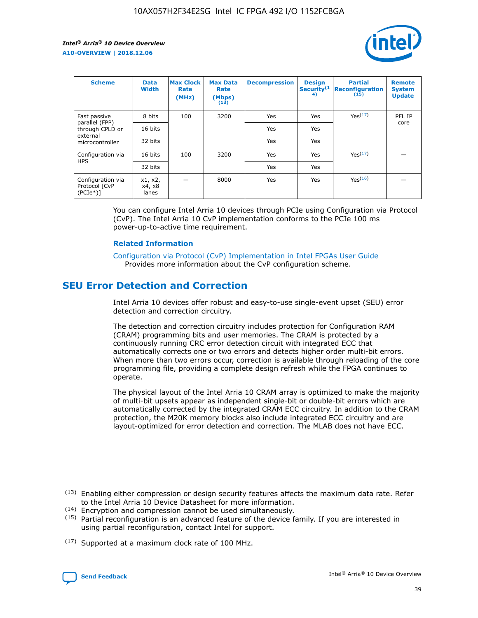

| <b>Scheme</b>                                   | <b>Data</b><br><b>Width</b> | <b>Max Clock</b><br>Rate<br>(MHz) | <b>Max Data</b><br>Rate<br>(Mbps)<br>(13) | <b>Decompression</b> | <b>Design</b><br>Security <sup>(1</sup><br>4) | <b>Partial</b><br><b>Reconfiguration</b><br>(15) | <b>Remote</b><br><b>System</b><br><b>Update</b> |
|-------------------------------------------------|-----------------------------|-----------------------------------|-------------------------------------------|----------------------|-----------------------------------------------|--------------------------------------------------|-------------------------------------------------|
| Fast passive                                    | 8 bits                      | 100                               | 3200                                      | Yes                  | Yes                                           | Yes(17)                                          | PFL IP                                          |
| parallel (FPP)<br>through CPLD or               | 16 bits                     |                                   |                                           | Yes                  | Yes                                           |                                                  | core                                            |
| external<br>microcontroller                     | 32 bits                     |                                   |                                           | Yes                  | Yes                                           |                                                  |                                                 |
| Configuration via                               | 16 bits                     | 100                               | 3200                                      | Yes                  | Yes                                           | Yes <sup>(17)</sup>                              |                                                 |
| <b>HPS</b>                                      | 32 bits                     |                                   |                                           | Yes                  | Yes                                           |                                                  |                                                 |
| Configuration via<br>Protocol [CvP<br>$(PCIe*)$ | x1, x2,<br>x4, x8<br>lanes  |                                   | 8000                                      | Yes                  | Yes                                           | Yes(16)                                          |                                                 |

You can configure Intel Arria 10 devices through PCIe using Configuration via Protocol (CvP). The Intel Arria 10 CvP implementation conforms to the PCIe 100 ms power-up-to-active time requirement.

#### **Related Information**

[Configuration via Protocol \(CvP\) Implementation in Intel FPGAs User Guide](https://www.intel.com/content/www/us/en/programmable/documentation/dsu1441819344145.html#dsu1442269728522) Provides more information about the CvP configuration scheme.

# **SEU Error Detection and Correction**

Intel Arria 10 devices offer robust and easy-to-use single-event upset (SEU) error detection and correction circuitry.

The detection and correction circuitry includes protection for Configuration RAM (CRAM) programming bits and user memories. The CRAM is protected by a continuously running CRC error detection circuit with integrated ECC that automatically corrects one or two errors and detects higher order multi-bit errors. When more than two errors occur, correction is available through reloading of the core programming file, providing a complete design refresh while the FPGA continues to operate.

The physical layout of the Intel Arria 10 CRAM array is optimized to make the majority of multi-bit upsets appear as independent single-bit or double-bit errors which are automatically corrected by the integrated CRAM ECC circuitry. In addition to the CRAM protection, the M20K memory blocks also include integrated ECC circuitry and are layout-optimized for error detection and correction. The MLAB does not have ECC.

<sup>(17)</sup> Supported at a maximum clock rate of 100 MHz.



 $(13)$  Enabling either compression or design security features affects the maximum data rate. Refer to the Intel Arria 10 Device Datasheet for more information.

<sup>(14)</sup> Encryption and compression cannot be used simultaneously.

 $(15)$  Partial reconfiguration is an advanced feature of the device family. If you are interested in using partial reconfiguration, contact Intel for support.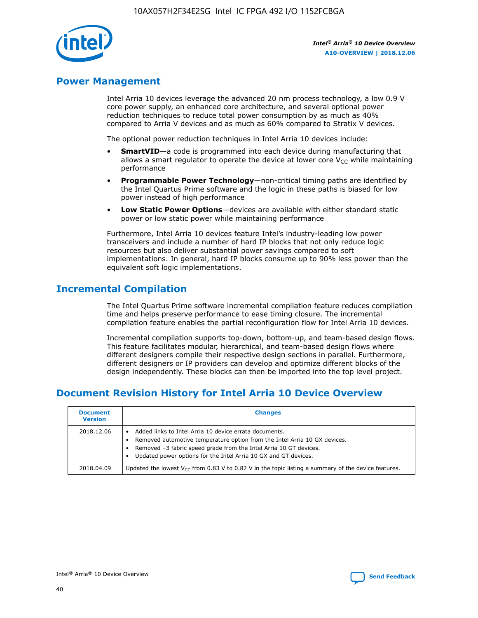

## **Power Management**

Intel Arria 10 devices leverage the advanced 20 nm process technology, a low 0.9 V core power supply, an enhanced core architecture, and several optional power reduction techniques to reduce total power consumption by as much as 40% compared to Arria V devices and as much as 60% compared to Stratix V devices.

The optional power reduction techniques in Intel Arria 10 devices include:

- **SmartVID**—a code is programmed into each device during manufacturing that allows a smart regulator to operate the device at lower core  $V_{CC}$  while maintaining performance
- **Programmable Power Technology**—non-critical timing paths are identified by the Intel Quartus Prime software and the logic in these paths is biased for low power instead of high performance
- **Low Static Power Options**—devices are available with either standard static power or low static power while maintaining performance

Furthermore, Intel Arria 10 devices feature Intel's industry-leading low power transceivers and include a number of hard IP blocks that not only reduce logic resources but also deliver substantial power savings compared to soft implementations. In general, hard IP blocks consume up to 90% less power than the equivalent soft logic implementations.

# **Incremental Compilation**

The Intel Quartus Prime software incremental compilation feature reduces compilation time and helps preserve performance to ease timing closure. The incremental compilation feature enables the partial reconfiguration flow for Intel Arria 10 devices.

Incremental compilation supports top-down, bottom-up, and team-based design flows. This feature facilitates modular, hierarchical, and team-based design flows where different designers compile their respective design sections in parallel. Furthermore, different designers or IP providers can develop and optimize different blocks of the design independently. These blocks can then be imported into the top level project.

# **Document Revision History for Intel Arria 10 Device Overview**

| <b>Document</b><br><b>Version</b> | <b>Changes</b>                                                                                                                                                                                                                                                              |
|-----------------------------------|-----------------------------------------------------------------------------------------------------------------------------------------------------------------------------------------------------------------------------------------------------------------------------|
| 2018.12.06                        | Added links to Intel Arria 10 device errata documents.<br>Removed automotive temperature option from the Intel Arria 10 GX devices.<br>Removed -3 fabric speed grade from the Intel Arria 10 GT devices.<br>Updated power options for the Intel Arria 10 GX and GT devices. |
| 2018.04.09                        | Updated the lowest $V_{CC}$ from 0.83 V to 0.82 V in the topic listing a summary of the device features.                                                                                                                                                                    |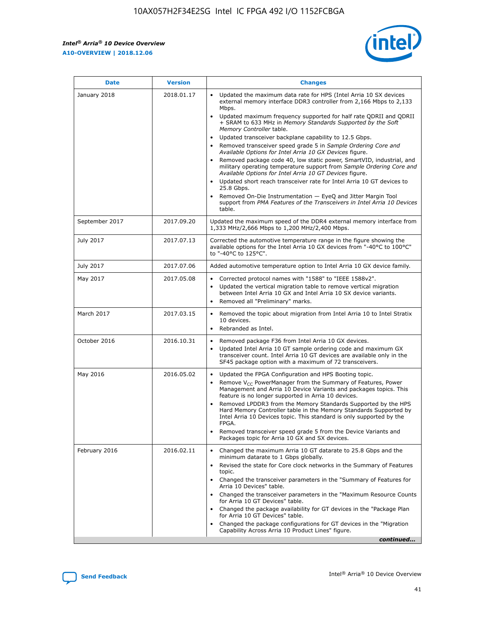#### *Intel® Arria® 10 Device Overview* **A10-OVERVIEW | 2018.12.06**



| <b>Date</b>    | <b>Version</b> | <b>Changes</b>                                                                                                                                                                                                                                                                                                                                                                                                                                                                                                                                                                                                                                                                                                                                                                                                                                                                                                                                                                         |
|----------------|----------------|----------------------------------------------------------------------------------------------------------------------------------------------------------------------------------------------------------------------------------------------------------------------------------------------------------------------------------------------------------------------------------------------------------------------------------------------------------------------------------------------------------------------------------------------------------------------------------------------------------------------------------------------------------------------------------------------------------------------------------------------------------------------------------------------------------------------------------------------------------------------------------------------------------------------------------------------------------------------------------------|
| January 2018   | 2018.01.17     | Updated the maximum data rate for HPS (Intel Arria 10 SX devices<br>external memory interface DDR3 controller from 2,166 Mbps to 2,133<br>Mbps.<br>Updated maximum frequency supported for half rate QDRII and QDRII<br>+ SRAM to 633 MHz in Memory Standards Supported by the Soft<br>Memory Controller table.<br>Updated transceiver backplane capability to 12.5 Gbps.<br>$\bullet$<br>Removed transceiver speed grade 5 in Sample Ordering Core and<br>$\bullet$<br>Available Options for Intel Arria 10 GX Devices figure.<br>Removed package code 40, low static power, SmartVID, industrial, and<br>military operating temperature support from Sample Ordering Core and<br>Available Options for Intel Arria 10 GT Devices figure.<br>Updated short reach transceiver rate for Intel Arria 10 GT devices to<br>25.8 Gbps.<br>Removed On-Die Instrumentation - EyeQ and Jitter Margin Tool<br>support from PMA Features of the Transceivers in Intel Arria 10 Devices<br>table. |
| September 2017 | 2017.09.20     | Updated the maximum speed of the DDR4 external memory interface from<br>1,333 MHz/2,666 Mbps to 1,200 MHz/2,400 Mbps.                                                                                                                                                                                                                                                                                                                                                                                                                                                                                                                                                                                                                                                                                                                                                                                                                                                                  |
| July 2017      | 2017.07.13     | Corrected the automotive temperature range in the figure showing the<br>available options for the Intel Arria 10 GX devices from "-40°C to 100°C"<br>to "-40°C to 125°C".                                                                                                                                                                                                                                                                                                                                                                                                                                                                                                                                                                                                                                                                                                                                                                                                              |
| July 2017      | 2017.07.06     | Added automotive temperature option to Intel Arria 10 GX device family.                                                                                                                                                                                                                                                                                                                                                                                                                                                                                                                                                                                                                                                                                                                                                                                                                                                                                                                |
| May 2017       | 2017.05.08     | Corrected protocol names with "1588" to "IEEE 1588v2".<br>$\bullet$<br>Updated the vertical migration table to remove vertical migration<br>$\bullet$<br>between Intel Arria 10 GX and Intel Arria 10 SX device variants.<br>Removed all "Preliminary" marks.<br>$\bullet$                                                                                                                                                                                                                                                                                                                                                                                                                                                                                                                                                                                                                                                                                                             |
| March 2017     | 2017.03.15     | Removed the topic about migration from Intel Arria 10 to Intel Stratix<br>$\bullet$<br>10 devices.<br>Rebranded as Intel.<br>$\bullet$                                                                                                                                                                                                                                                                                                                                                                                                                                                                                                                                                                                                                                                                                                                                                                                                                                                 |
| October 2016   | 2016.10.31     | Removed package F36 from Intel Arria 10 GX devices.<br>Updated Intel Arria 10 GT sample ordering code and maximum GX<br>$\bullet$<br>transceiver count. Intel Arria 10 GT devices are available only in the<br>SF45 package option with a maximum of 72 transceivers.                                                                                                                                                                                                                                                                                                                                                                                                                                                                                                                                                                                                                                                                                                                  |
| May 2016       | 2016.05.02     | Updated the FPGA Configuration and HPS Booting topic.<br>$\bullet$<br>Remove V <sub>CC</sub> PowerManager from the Summary of Features, Power<br>Management and Arria 10 Device Variants and packages topics. This<br>feature is no longer supported in Arria 10 devices.<br>Removed LPDDR3 from the Memory Standards Supported by the HPS<br>Hard Memory Controller table in the Memory Standards Supported by<br>Intel Arria 10 Devices topic. This standard is only supported by the<br>FPGA.<br>Removed transceiver speed grade 5 from the Device Variants and<br>Packages topic for Arria 10 GX and SX devices.                                                                                                                                                                                                                                                                                                                                                                   |
| February 2016  | 2016.02.11     | Changed the maximum Arria 10 GT datarate to 25.8 Gbps and the<br>minimum datarate to 1 Gbps globally.<br>Revised the state for Core clock networks in the Summary of Features<br>$\bullet$<br>topic.<br>• Changed the transceiver parameters in the "Summary of Features for<br>Arria 10 Devices" table.<br>• Changed the transceiver parameters in the "Maximum Resource Counts<br>for Arria 10 GT Devices" table.<br>Changed the package availability for GT devices in the "Package Plan<br>for Arria 10 GT Devices" table.<br>Changed the package configurations for GT devices in the "Migration"<br>Capability Across Arria 10 Product Lines" figure.<br>continued                                                                                                                                                                                                                                                                                                               |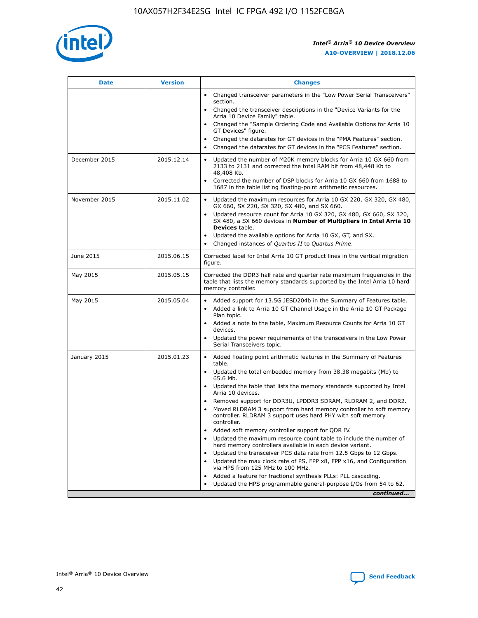

| <b>Date</b>   | <b>Version</b> | <b>Changes</b>                                                                                                                                                               |
|---------------|----------------|------------------------------------------------------------------------------------------------------------------------------------------------------------------------------|
|               |                | Changed transceiver parameters in the "Low Power Serial Transceivers"<br>section.                                                                                            |
|               |                | • Changed the transceiver descriptions in the "Device Variants for the<br>Arria 10 Device Family" table.                                                                     |
|               |                | Changed the "Sample Ordering Code and Available Options for Arria 10<br>GT Devices" figure.                                                                                  |
|               |                | Changed the datarates for GT devices in the "PMA Features" section.                                                                                                          |
|               |                | Changed the datarates for GT devices in the "PCS Features" section.<br>$\bullet$                                                                                             |
| December 2015 | 2015.12.14     | Updated the number of M20K memory blocks for Arria 10 GX 660 from<br>2133 to 2131 and corrected the total RAM bit from 48,448 Kb to<br>48,408 Kb.                            |
|               |                | Corrected the number of DSP blocks for Arria 10 GX 660 from 1688 to<br>$\bullet$<br>1687 in the table listing floating-point arithmetic resources.                           |
| November 2015 | 2015.11.02     | Updated the maximum resources for Arria 10 GX 220, GX 320, GX 480,<br>GX 660, SX 220, SX 320, SX 480, and SX 660.                                                            |
|               |                | Updated resource count for Arria 10 GX 320, GX 480, GX 660, SX 320,<br>SX 480, a SX 660 devices in Number of Multipliers in Intel Arria 10<br><b>Devices</b> table.          |
|               |                | Updated the available options for Arria 10 GX, GT, and SX.<br>$\bullet$                                                                                                      |
|               |                | Changed instances of Quartus II to Quartus Prime.<br>$\bullet$                                                                                                               |
| June 2015     | 2015.06.15     | Corrected label for Intel Arria 10 GT product lines in the vertical migration<br>figure.                                                                                     |
| May 2015      | 2015.05.15     | Corrected the DDR3 half rate and quarter rate maximum frequencies in the<br>table that lists the memory standards supported by the Intel Arria 10 hard<br>memory controller. |
| May 2015      | 2015.05.04     | Added support for 13.5G JESD204b in the Summary of Features table.<br>Added a link to Arria 10 GT Channel Usage in the Arria 10 GT Package                                   |
|               |                | Plan topic.                                                                                                                                                                  |
|               |                | • Added a note to the table, Maximum Resource Counts for Arria 10 GT<br>devices.                                                                                             |
|               |                | Updated the power requirements of the transceivers in the Low Power<br>Serial Transceivers topic.                                                                            |
| January 2015  | 2015.01.23     | • Added floating point arithmetic features in the Summary of Features<br>table.                                                                                              |
|               |                | Updated the total embedded memory from 38.38 megabits (Mb) to<br>$\bullet$<br>65.6 Mb.                                                                                       |
|               |                | • Updated the table that lists the memory standards supported by Intel<br>Arria 10 devices.                                                                                  |
|               |                | Removed support for DDR3U, LPDDR3 SDRAM, RLDRAM 2, and DDR2.                                                                                                                 |
|               |                | Moved RLDRAM 3 support from hard memory controller to soft memory<br>controller. RLDRAM 3 support uses hard PHY with soft memory<br>controller.                              |
|               |                | Added soft memory controller support for QDR IV.                                                                                                                             |
|               |                | Updated the maximum resource count table to include the number of<br>$\bullet$<br>hard memory controllers available in each device variant.                                  |
|               |                | Updated the transceiver PCS data rate from 12.5 Gbps to 12 Gbps.                                                                                                             |
|               |                | Updated the max clock rate of PS, FPP x8, FPP x16, and Configuration<br>via HPS from 125 MHz to 100 MHz.                                                                     |
|               |                | Added a feature for fractional synthesis PLLs: PLL cascading.                                                                                                                |
|               |                | Updated the HPS programmable general-purpose I/Os from 54 to 62.<br>$\bullet$                                                                                                |
|               |                | continued                                                                                                                                                                    |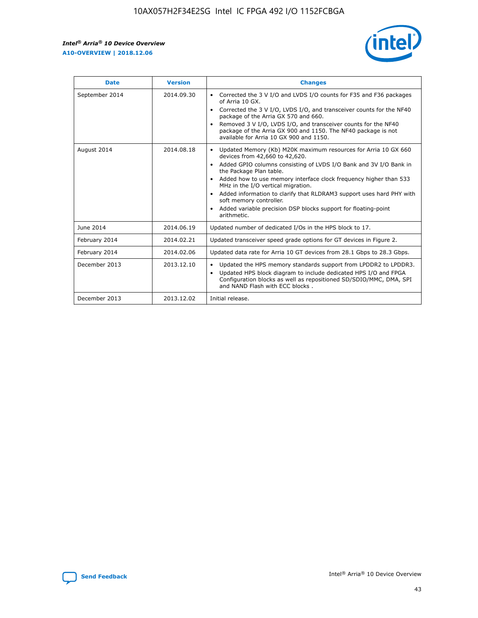r



| <b>Date</b>    | <b>Version</b> | <b>Changes</b>                                                                                                                                                                                                                                                                                                                                                                                                                                                                                                                                      |
|----------------|----------------|-----------------------------------------------------------------------------------------------------------------------------------------------------------------------------------------------------------------------------------------------------------------------------------------------------------------------------------------------------------------------------------------------------------------------------------------------------------------------------------------------------------------------------------------------------|
| September 2014 | 2014.09.30     | Corrected the 3 V I/O and LVDS I/O counts for F35 and F36 packages<br>$\bullet$<br>of Arria 10 GX.<br>Corrected the 3 V I/O, LVDS I/O, and transceiver counts for the NF40<br>$\bullet$<br>package of the Arria GX 570 and 660.<br>Removed 3 V I/O, LVDS I/O, and transceiver counts for the NF40<br>package of the Arria GX 900 and 1150. The NF40 package is not<br>available for Arria 10 GX 900 and 1150.                                                                                                                                       |
| August 2014    | 2014.08.18     | Updated Memory (Kb) M20K maximum resources for Arria 10 GX 660<br>devices from 42,660 to 42,620.<br>Added GPIO columns consisting of LVDS I/O Bank and 3V I/O Bank in<br>$\bullet$<br>the Package Plan table.<br>Added how to use memory interface clock frequency higher than 533<br>$\bullet$<br>MHz in the I/O vertical migration.<br>Added information to clarify that RLDRAM3 support uses hard PHY with<br>$\bullet$<br>soft memory controller.<br>Added variable precision DSP blocks support for floating-point<br>$\bullet$<br>arithmetic. |
| June 2014      | 2014.06.19     | Updated number of dedicated I/Os in the HPS block to 17.                                                                                                                                                                                                                                                                                                                                                                                                                                                                                            |
| February 2014  | 2014.02.21     | Updated transceiver speed grade options for GT devices in Figure 2.                                                                                                                                                                                                                                                                                                                                                                                                                                                                                 |
| February 2014  | 2014.02.06     | Updated data rate for Arria 10 GT devices from 28.1 Gbps to 28.3 Gbps.                                                                                                                                                                                                                                                                                                                                                                                                                                                                              |
| December 2013  | 2013.12.10     | Updated the HPS memory standards support from LPDDR2 to LPDDR3.<br>Updated HPS block diagram to include dedicated HPS I/O and FPGA<br>$\bullet$<br>Configuration blocks as well as repositioned SD/SDIO/MMC, DMA, SPI<br>and NAND Flash with ECC blocks.                                                                                                                                                                                                                                                                                            |
| December 2013  | 2013.12.02     | Initial release.                                                                                                                                                                                                                                                                                                                                                                                                                                                                                                                                    |